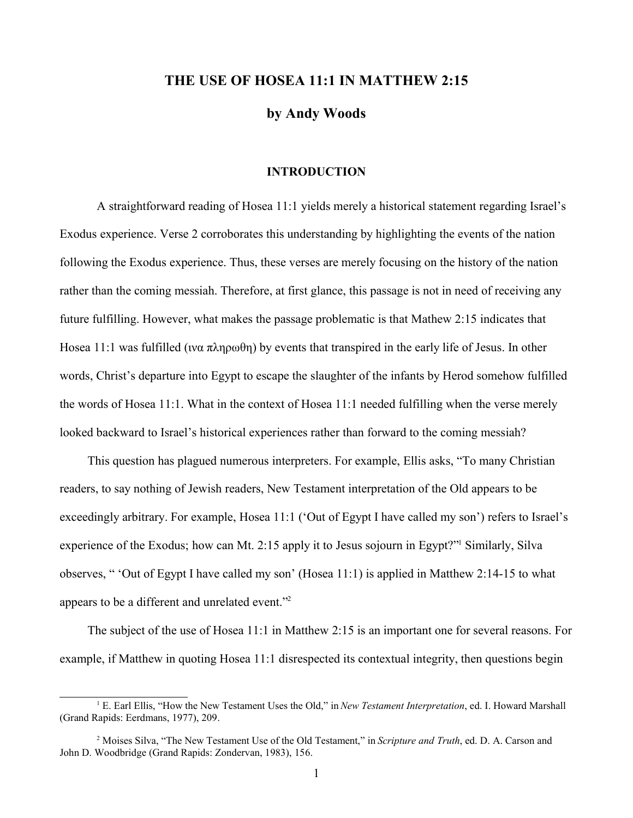## **THE USE OF HOSEA 11:1 IN MATTHEW 2:15**

**by Andy Woods**

#### **INTRODUCTION**

A straightforward reading of Hosea 11:1 yields merely a historical statement regarding Israel's Exodus experience. Verse 2 corroborates this understanding by highlighting the events of the nation following the Exodus experience. Thus, these verses are merely focusing on the history of the nation rather than the coming messiah. Therefore, at first glance, this passage is not in need of receiving any future fulfilling. However, what makes the passage problematic is that Mathew 2:15 indicates that Hosea 11:1 was fulfilled ( $w\alpha \pi\lambda\eta\rho\omega\theta\eta$ ) by events that transpired in the early life of Jesus. In other words, Christ's departure into Egypt to escape the slaughter of the infants by Herod somehow fulfilled the words of Hosea 11:1. What in the context of Hosea 11:1 needed fulfilling when the verse merely looked backward to Israel's historical experiences rather than forward to the coming messiah?

This question has plagued numerous interpreters. For example, Ellis asks, "To many Christian readers, to say nothing of Jewish readers, New Testament interpretation of the Old appears to be exceedingly arbitrary. For example, Hosea 11:1 ('Out of Egypt I have called my son') refers to Israel's experience of the Exodus; how can Mt. 2:15 apply it to Jesus sojourn in Egypt?" Similarly, Silva observes, " 'Out of Egypt I have called my son' (Hosea 11:1) is applied in Matthew 2:14-15 to what appears to be a different and unrelated event."<sup>2</sup>

The subject of the use of Hosea 11:1 in Matthew 2:15 is an important one for several reasons. For example, if Matthew in quoting Hosea 11:1 disrespected its contextual integrity, then questions begin

<sup>1</sup> E. Earl Ellis, "How the New Testament Uses the Old," in *New Testament Interpretation*, ed. I. Howard Marshall (Grand Rapids: Eerdmans, 1977), 209.

<sup>&</sup>lt;sup>2</sup> Moises Silva, "The New Testament Use of the Old Testament," in *Scripture and Truth*, ed. D. A. Carson and John D. Woodbridge (Grand Rapids: Zondervan, 1983), 156.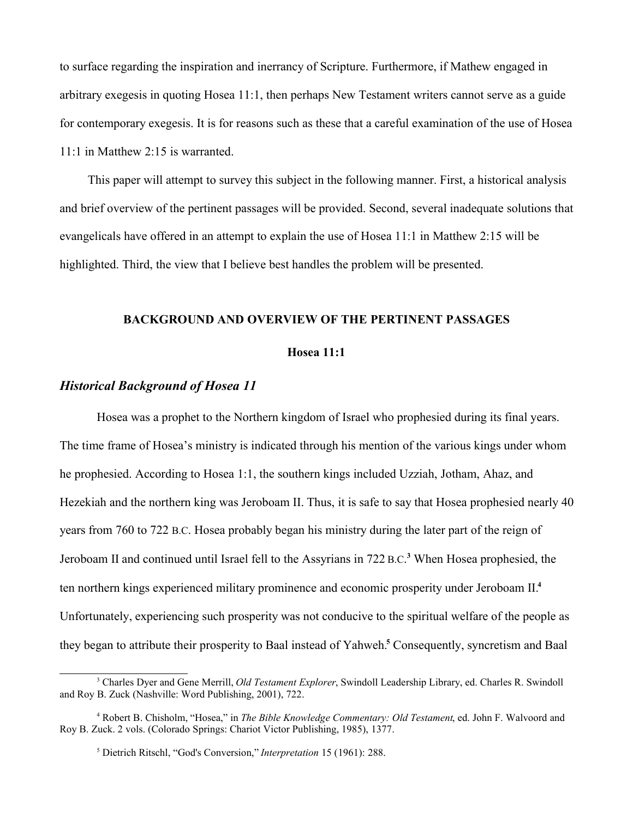to surface regarding the inspiration and inerrancy of Scripture. Furthermore, if Mathew engaged in arbitrary exegesis in quoting Hosea 11:1, then perhaps New Testament writers cannot serve as a guide for contemporary exegesis. It is for reasons such as these that a careful examination of the use of Hosea 11:1 in Matthew 2:15 is warranted.

This paper will attempt to survey this subject in the following manner. First, a historical analysis and brief overview of the pertinent passages will be provided. Second, several inadequate solutions that evangelicals have offered in an attempt to explain the use of Hosea 11:1 in Matthew 2:15 will be highlighted. Third, the view that I believe best handles the problem will be presented.

## **BACKGROUND AND OVERVIEW OF THE PERTINENT PASSAGES**

### **Hosea 11:1**

## *Historical Background of Hosea 11*

Hosea was a prophet to the Northern kingdom of Israel who prophesied during its final years. The time frame of Hosea's ministry is indicated through his mention of the various kings under whom he prophesied. According to Hosea 1:1, the southern kings included Uzziah, Jotham, Ahaz, and Hezekiah and the northern king was Jeroboam II. Thus, it is safe to say that Hosea prophesied nearly 40 years from 760 to 722 B.C. Hosea probably began his ministry during the later part of the reign of Jeroboam II and continued until Israel fell to the Assyrians in 722 B.C.<sup>3</sup> When Hosea prophesied, the ten northern kings experienced military prominence and economic prosperity under Jeroboam II.**<sup>4</sup>** Unfortunately, experiencing such prosperity was not conducive to the spiritual welfare of the people as they began to attribute their prosperity to Baal instead of Yahweh.**<sup>5</sup>** Consequently, syncretism and Baal

<sup>3</sup> Charles Dyer and Gene Merrill, *Old Testament Explorer*, Swindoll Leadership Library, ed. Charles R. Swindoll and Roy B. Zuck (Nashville: Word Publishing, 2001), 722.

<sup>4</sup> Robert B. Chisholm, "Hosea," in *The Bible Knowledge Commentary: Old Testament*, ed. John F. Walvoord and Roy B. Zuck. 2 vols. (Colorado Springs: Chariot Victor Publishing, 1985), 1377.

<sup>5</sup> Dietrich Ritschl, "God's Conversion," *Interpretation* 15 (1961): 288.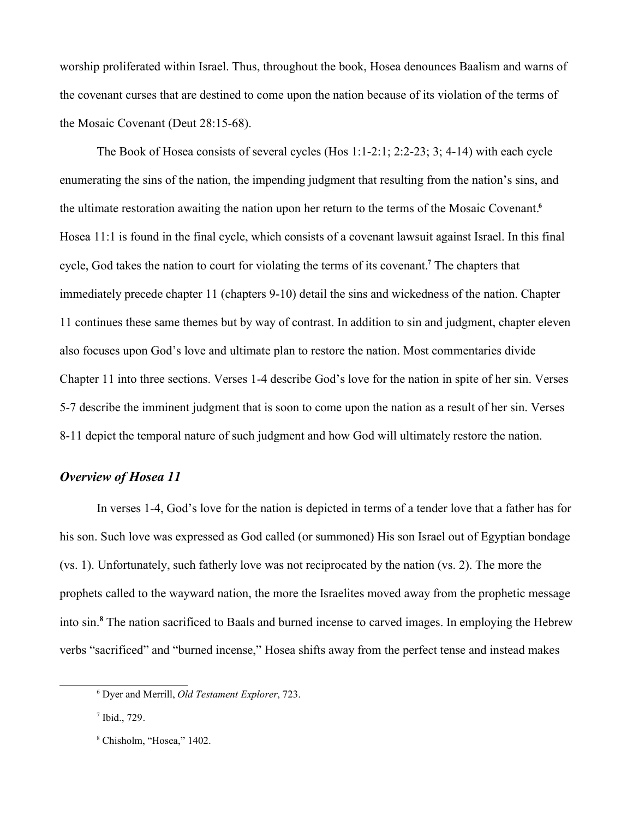worship proliferated within Israel. Thus, throughout the book, Hosea denounces Baalism and warns of the covenant curses that are destined to come upon the nation because of its violation of the terms of the Mosaic Covenant (Deut 28:15-68).

The Book of Hosea consists of several cycles (Hos 1:1-2:1; 2:2-23; 3; 4-14) with each cycle enumerating the sins of the nation, the impending judgment that resulting from the nation's sins, and the ultimate restoration awaiting the nation upon her return to the terms of the Mosaic Covenant.**<sup>6</sup>** Hosea 11:1 is found in the final cycle, which consists of a covenant lawsuit against Israel. In this final cycle, God takes the nation to court for violating the terms of its covenant.**<sup>7</sup>** The chapters that immediately precede chapter 11 (chapters 9-10) detail the sins and wickedness of the nation. Chapter 11 continues these same themes but by way of contrast. In addition to sin and judgment, chapter eleven also focuses upon God's love and ultimate plan to restore the nation. Most commentaries divide Chapter 11 into three sections. Verses 1-4 describe God's love for the nation in spite of her sin. Verses 5-7 describe the imminent judgment that is soon to come upon the nation as a result of her sin. Verses 8-11 depict the temporal nature of such judgment and how God will ultimately restore the nation.

## *Overview of Hosea 11*

In verses 1-4, God's love for the nation is depicted in terms of a tender love that a father has for his son. Such love was expressed as God called (or summoned) His son Israel out of Egyptian bondage (vs. 1). Unfortunately, such fatherly love was not reciprocated by the nation (vs. 2). The more the prophets called to the wayward nation, the more the Israelites moved away from the prophetic message into sin.**<sup>8</sup>** The nation sacrificed to Baals and burned incense to carved images. In employing the Hebrew verbs "sacrificed" and "burned incense," Hosea shifts away from the perfect tense and instead makes

<sup>6</sup> Dyer and Merrill, *Old Testament Explorer*, 723.

 $<sup>7</sup>$  Ibid., 729.</sup>

<sup>8</sup> Chisholm, "Hosea," 1402.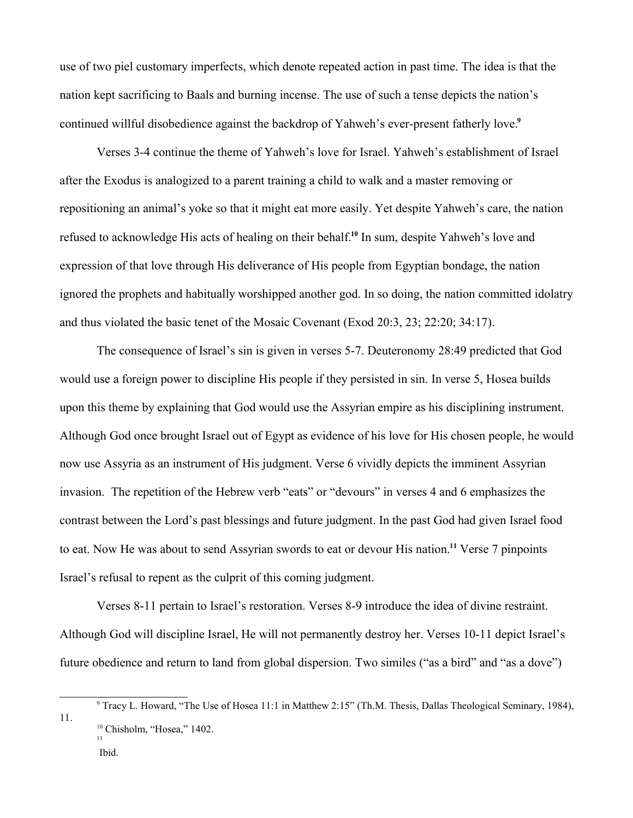use of two piel customary imperfects, which denote repeated action in past time. The idea is that the nation kept sacrificing to Baals and burning incense. The use of such a tense depicts the nation's continued willful disobedience against the backdrop of Yahweh's ever-present fatherly love. **9**

Verses 3-4 continue the theme of Yahweh's love for Israel. Yahweh's establishment of Israel after the Exodus is analogized to a parent training a child to walk and a master removing or repositioning an animal's yoke so that it might eat more easily. Yet despite Yahweh's care, the nation refused to acknowledge His acts of healing on their behalf.**<sup>10</sup>** In sum, despite Yahweh's love and expression of that love through His deliverance of His people from Egyptian bondage, the nation ignored the prophets and habitually worshipped another god. In so doing, the nation committed idolatry and thus violated the basic tenet of the Mosaic Covenant (Exod 20:3, 23; 22:20; 34:17).

The consequence of Israel's sin is given in verses 5-7. Deuteronomy 28:49 predicted that God would use a foreign power to discipline His people if they persisted in sin. In verse 5, Hosea builds upon this theme by explaining that God would use the Assyrian empire as his disciplining instrument. Although God once brought Israel out of Egypt as evidence of his love for His chosen people, he would now use Assyria as an instrument of His judgment. Verse 6 vividly depicts the imminent Assyrian invasion. The repetition of the Hebrew verb "eats" or "devours" in verses 4 and 6 emphasizes the contrast between the Lord's past blessings and future judgment. In the past God had given Israel food to eat. Now He was about to send Assyrian swords to eat or devour His nation.**<sup>11</sup>** Verse 7 pinpoints Israel's refusal to repent as the culprit of this coming judgment.

Verses 8-11 pertain to Israel's restoration. Verses 8-9 introduce the idea of divine restraint. Although God will discipline Israel, He will not permanently destroy her. Verses 10-11 depict Israel's future obedience and return to land from global dispersion. Two similes ("as a bird" and "as a dove")

Ibid.

<sup>9</sup> Tracy L. Howard, "The Use of Hosea 11:1 in Matthew 2:15" (Th.M. Thesis, Dallas Theological Seminary, 1984), 11. <sup>10</sup> Chisholm, "Hosea," 1402. 11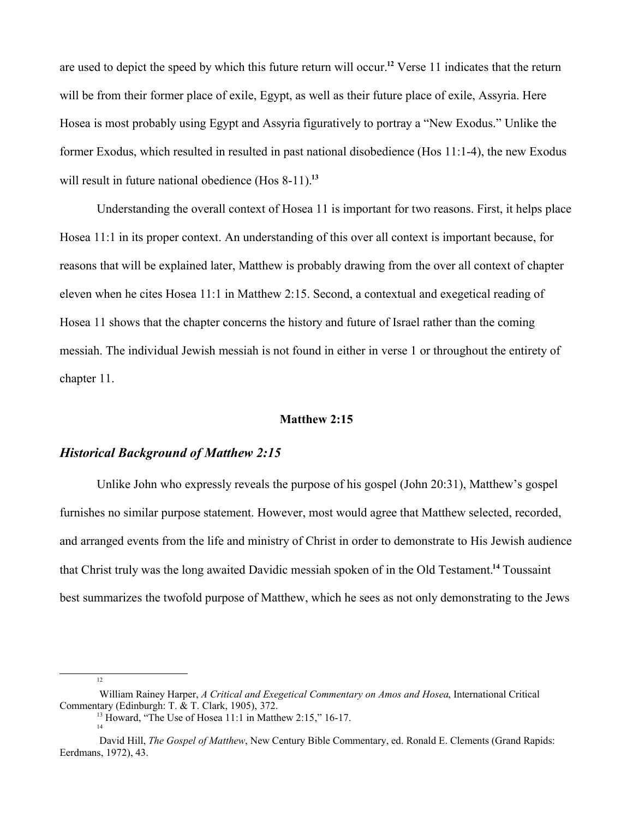are used to depict the speed by which this future return will occur.**<sup>12</sup>** Verse 11 indicates that the return will be from their former place of exile, Egypt, as well as their future place of exile, Assyria. Here Hosea is most probably using Egypt and Assyria figuratively to portray a "New Exodus." Unlike the former Exodus, which resulted in resulted in past national disobedience (Hos 11:1-4), the new Exodus will result in future national obedience (Hos 8-11).**<sup>13</sup>**

Understanding the overall context of Hosea 11 is important for two reasons. First, it helps place Hosea 11:1 in its proper context. An understanding of this over all context is important because, for reasons that will be explained later, Matthew is probably drawing from the over all context of chapter eleven when he cites Hosea 11:1 in Matthew 2:15. Second, a contextual and exegetical reading of Hosea 11 shows that the chapter concerns the history and future of Israel rather than the coming messiah. The individual Jewish messiah is not found in either in verse 1 or throughout the entirety of chapter 11.

### **Matthew 2:15**

# *Historical Background of Matthew 2:15*

Unlike John who expressly reveals the purpose of his gospel (John 20:31), Matthew's gospel furnishes no similar purpose statement. However, most would agree that Matthew selected, recorded, and arranged events from the life and ministry of Christ in order to demonstrate to His Jewish audience that Christ truly was the long awaited Davidic messiah spoken of in the Old Testament.**<sup>14</sup>** Toussaint best summarizes the twofold purpose of Matthew, which he sees as not only demonstrating to the Jews

<sup>12</sup>

William Rainey Harper, *A Critical and Exegetical Commentary on Amos and Hosea*, International Critical Commentary (Edinburgh: T. & T. Clark, 1905), 372.

<sup>&</sup>lt;sup>13</sup> Howard, "The Use of Hosea 11:1 in Matthew 2:15," 16-17.

David Hill, *The Gospel of Matthew*, New Century Bible Commentary, ed. Ronald E. Clements (Grand Rapids: Eerdmans, 1972), 43.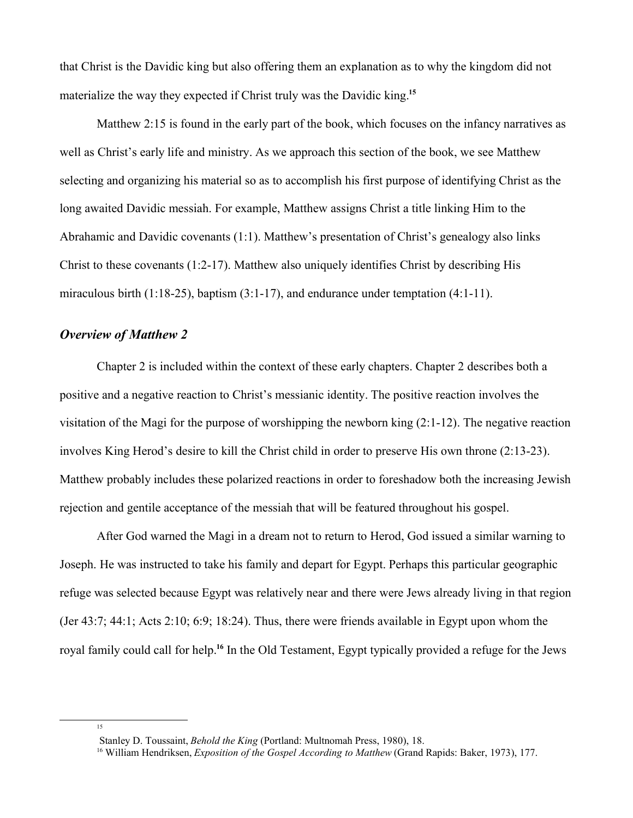that Christ is the Davidic king but also offering them an explanation as to why the kingdom did not materialize the way they expected if Christ truly was the Davidic king.**<sup>15</sup>**

Matthew 2:15 is found in the early part of the book, which focuses on the infancy narratives as well as Christ's early life and ministry. As we approach this section of the book, we see Matthew selecting and organizing his material so as to accomplish his first purpose of identifying Christ as the long awaited Davidic messiah. For example, Matthew assigns Christ a title linking Him to the Abrahamic and Davidic covenants (1:1). Matthew's presentation of Christ's genealogy also links Christ to these covenants (1:2-17). Matthew also uniquely identifies Christ by describing His miraculous birth  $(1:18-25)$ , baptism  $(3:1-17)$ , and endurance under temptation  $(4:1-11)$ .

## *Overview of Matthew 2*

15

Chapter 2 is included within the context of these early chapters. Chapter 2 describes both a positive and a negative reaction to Christ's messianic identity. The positive reaction involves the visitation of the Magi for the purpose of worshipping the newborn king (2:1-12). The negative reaction involves King Herod's desire to kill the Christ child in order to preserve His own throne (2:13-23). Matthew probably includes these polarized reactions in order to foreshadow both the increasing Jewish rejection and gentile acceptance of the messiah that will be featured throughout his gospel.

After God warned the Magi in a dream not to return to Herod, God issued a similar warning to Joseph. He was instructed to take his family and depart for Egypt. Perhaps this particular geographic refuge was selected because Egypt was relatively near and there were Jews already living in that region (Jer 43:7; 44:1; Acts 2:10; 6:9; 18:24). Thus, there were friends available in Egypt upon whom the royal family could call for help.**<sup>16</sup>** In the Old Testament, Egypt typically provided a refuge for the Jews

Stanley D. Toussaint, *Behold the King* (Portland: Multnomah Press, 1980), 18.

<sup>16</sup> William Hendriksen, *Exposition of the Gospel According to Matthew* (Grand Rapids: Baker, 1973), 177.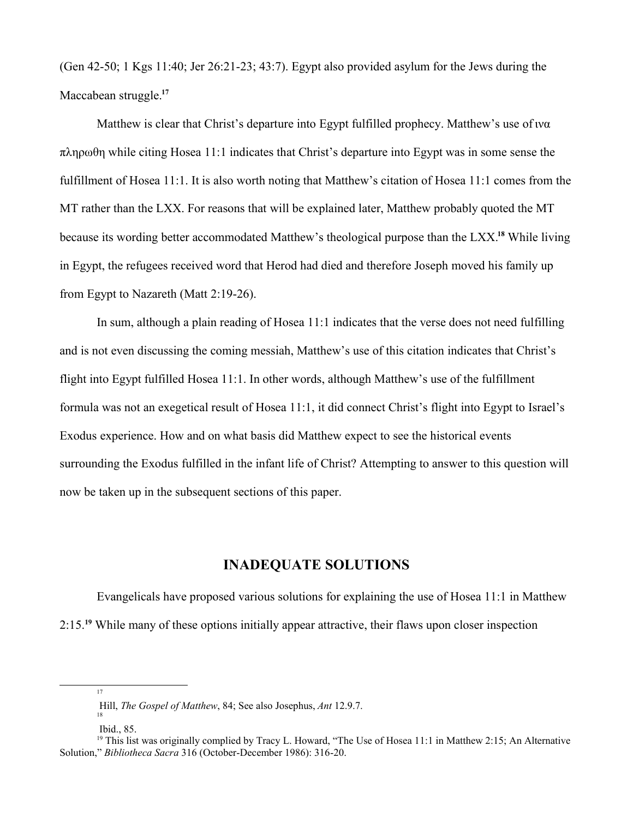(Gen 42-50; 1 Kgs 11:40; Jer 26:21-23; 43:7). Egypt also provided asylum for the Jews during the Maccabean struggle.**<sup>17</sup>**

Matthew is clear that Christ's departure into Egypt fulfilled prophecy. Matthew's use of  $w\alpha$  $\pi\lambda\eta\rho\omega\theta\eta$  while citing Hosea 11:1 indicates that Christ's departure into Egypt was in some sense the fulfillment of Hosea 11:1. It is also worth noting that Matthew's citation of Hosea 11:1 comes from the MT rather than the LXX. For reasons that will be explained later, Matthew probably quoted the MT because its wording better accommodated Matthew's theological purpose than the LXX.**<sup>18</sup>** While living in Egypt, the refugees received word that Herod had died and therefore Joseph moved his family up from Egypt to Nazareth (Matt 2:19-26).

In sum, although a plain reading of Hosea 11:1 indicates that the verse does not need fulfilling and is not even discussing the coming messiah, Matthew's use of this citation indicates that Christ's flight into Egypt fulfilled Hosea 11:1. In other words, although Matthew's use of the fulfillment formula was not an exegetical result of Hosea 11:1, it did connect Christ's flight into Egypt to Israel's Exodus experience. How and on what basis did Matthew expect to see the historical events surrounding the Exodus fulfilled in the infant life of Christ? Attempting to answer to this question will now be taken up in the subsequent sections of this paper.

# **INADEQUATE SOLUTIONS**

Evangelicals have proposed various solutions for explaining the use of Hosea 11:1 in Matthew 2:15.**<sup>19</sup>** While many of these options initially appear attractive, their flaws upon closer inspection

Hill, *The Gospel of Matthew*, 84; See also Josephus, *Ant* 12.9.7. 18

Ibid., 85.

<sup>&</sup>lt;sup>19</sup> This list was originally complied by Tracy L. Howard, "The Use of Hosea 11:1 in Matthew 2:15; An Alternative Solution," *Bibliotheca Sacra* 316 (October-December 1986): 316-20.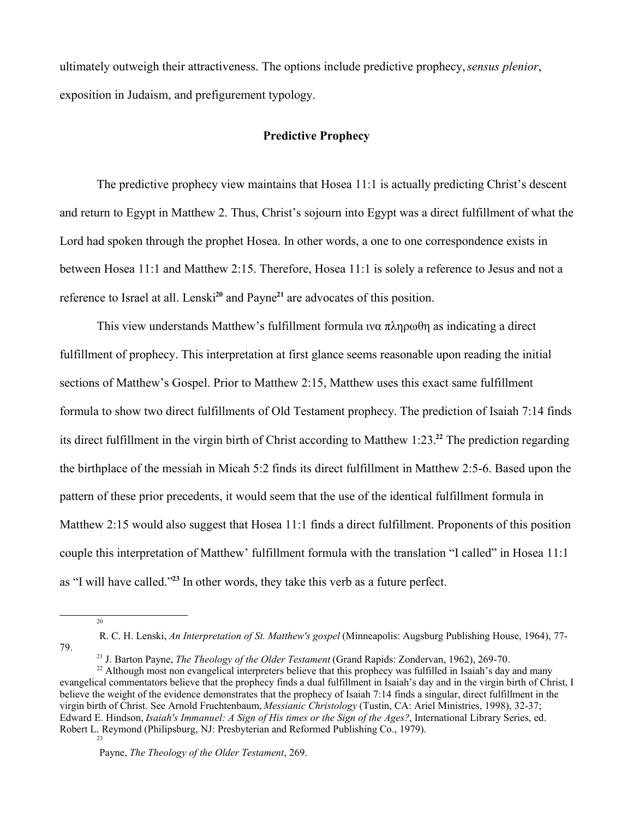ultimately outweigh their attractiveness. The options include predictive prophecy, *sensus plenior*, exposition in Judaism, and prefigurement typology.

# **Predictive Prophecy**

The predictive prophecy view maintains that Hosea 11:1 is actually predicting Christ's descent and return to Egypt in Matthew 2. Thus, Christ's sojourn into Egypt was a direct fulfillment of what the Lord had spoken through the prophet Hosea. In other words, a one to one correspondence exists in between Hosea 11:1 and Matthew 2:15. Therefore, Hosea 11:1 is solely a reference to Jesus and not a reference to Israel at all. Lenski**<sup>20</sup>** and Payne**<sup>21</sup>** are advocates of this position.

This view understands Matthew's fulfillment formula  $w\alpha \pi\lambda n\rho\omega\theta n$  as indicating a direct fulfillment of prophecy. This interpretation at first glance seems reasonable upon reading the initial sections of Matthew's Gospel. Prior to Matthew 2:15, Matthew uses this exact same fulfillment formula to show two direct fulfillments of Old Testament prophecy. The prediction of Isaiah 7:14 finds its direct fulfillment in the virgin birth of Christ according to Matthew 1:23.**<sup>22</sup>** The prediction regarding the birthplace of the messiah in Micah 5:2 finds its direct fulfillment in Matthew 2:5-6. Based upon the pattern of these prior precedents, it would seem that the use of the identical fulfillment formula in Matthew 2:15 would also suggest that Hosea 11:1 finds a direct fulfillment. Proponents of this position couple this interpretation of Matthew' fulfillment formula with the translation "I called" in Hosea 11:1 as "I will have called."**<sup>23</sup>** In other words, they take this verb as a future perfect.

 $20$ 

R. C. H. Lenski, *An Interpretation of St. Matthew's gospel* (Minneapolis: Augsburg Publishing House, 1964), 77- 79.

<sup>21</sup> J. Barton Payne, *The Theology of the Older Testament* (Grand Rapids: Zondervan, 1962), 269-70.

<sup>&</sup>lt;sup>22</sup> Although most non evangelical interpreters believe that this prophecy was fulfilled in Isaiah's day and many evangelical commentators believe that the prophecy finds a dual fulfillment in Isaiah's day and in the virgin birth of Christ, I believe the weight of the evidence demonstrates that the prophecy of Isaiah 7:14 finds a singular, direct fulfillment in the virgin birth of Christ. See Arnold Fruchtenbaum, *Messianic Christology* (Tustin, CA: Ariel Ministries, 1998), 32-37; Edward E. Hindson, *Isaiah's Immanuel: A Sign of His times or the Sign of the Ages?*, International Library Series, ed. Robert L. Reymond (Philipsburg, NJ: Presbyterian and Reformed Publishing Co., 1979).

Payne, *The Theology of the Older Testament*, 269.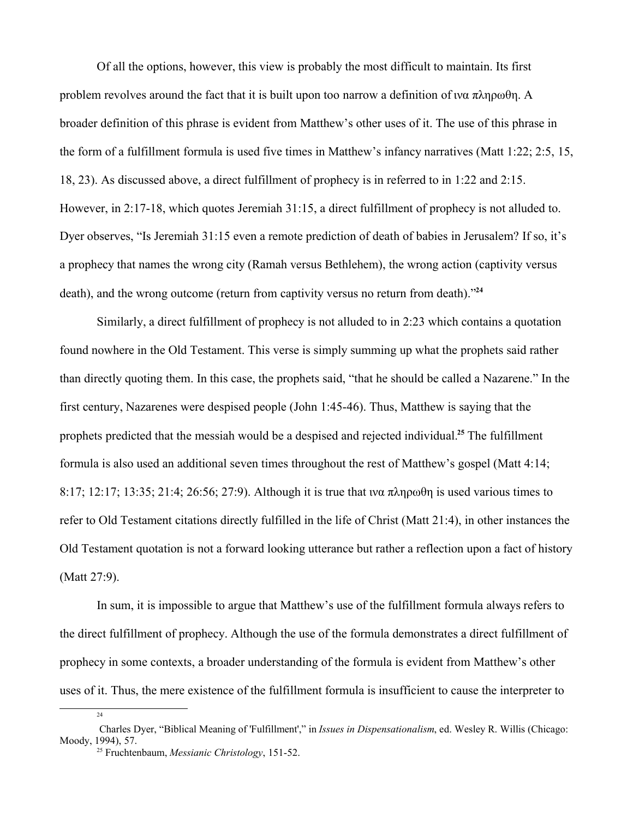Of all the options, however, this view is probably the most difficult to maintain. Its first problem revolves around the fact that it is built upon too narrow a definition of  $w\alpha \pi\lambda n\rho\omega\theta n$ . A broader definition of this phrase is evident from Matthew's other uses of it. The use of this phrase in the form of a fulfillment formula is used five times in Matthew's infancy narratives (Matt 1:22; 2:5, 15, 18, 23). As discussed above, a direct fulfillment of prophecy is in referred to in 1:22 and 2:15. However, in 2:17-18, which quotes Jeremiah 31:15, a direct fulfillment of prophecy is not alluded to. Dyer observes, "Is Jeremiah 31:15 even a remote prediction of death of babies in Jerusalem? If so, it's a prophecy that names the wrong city (Ramah versus Bethlehem), the wrong action (captivity versus death), and the wrong outcome (return from captivity versus no return from death)."**<sup>24</sup>**

Similarly, a direct fulfillment of prophecy is not alluded to in 2:23 which contains a quotation found nowhere in the Old Testament. This verse is simply summing up what the prophets said rather than directly quoting them. In this case, the prophets said, "that he should be called a Nazarene." In the first century, Nazarenes were despised people (John 1:45-46). Thus, Matthew is saying that the prophets predicted that the messiah would be a despised and rejected individual.**<sup>25</sup>** The fulfillment formula is also used an additional seven times throughout the rest of Matthew's gospel (Matt 4:14; 8:17; 12:17; 13:35; 21:4; 26:56; 27:9). Although it is true that  $w\alpha \pi \lambda \eta \rho \omega \theta \eta$  is used various times to refer to Old Testament citations directly fulfilled in the life of Christ (Matt 21:4), in other instances the Old Testament quotation is not a forward looking utterance but rather a reflection upon a fact of history (Matt 27:9).

In sum, it is impossible to argue that Matthew's use of the fulfillment formula always refers to the direct fulfillment of prophecy. Although the use of the formula demonstrates a direct fulfillment of prophecy in some contexts, a broader understanding of the formula is evident from Matthew's other uses of it. Thus, the mere existence of the fulfillment formula is insufficient to cause the interpreter to

Charles Dyer, "Biblical Meaning of 'Fulfillment'," in *Issues in Dispensationalism*, ed. Wesley R. Willis (Chicago: Moody, 1994), 57.

<sup>25</sup> Fruchtenbaum, *Messianic Christology*, 151-52.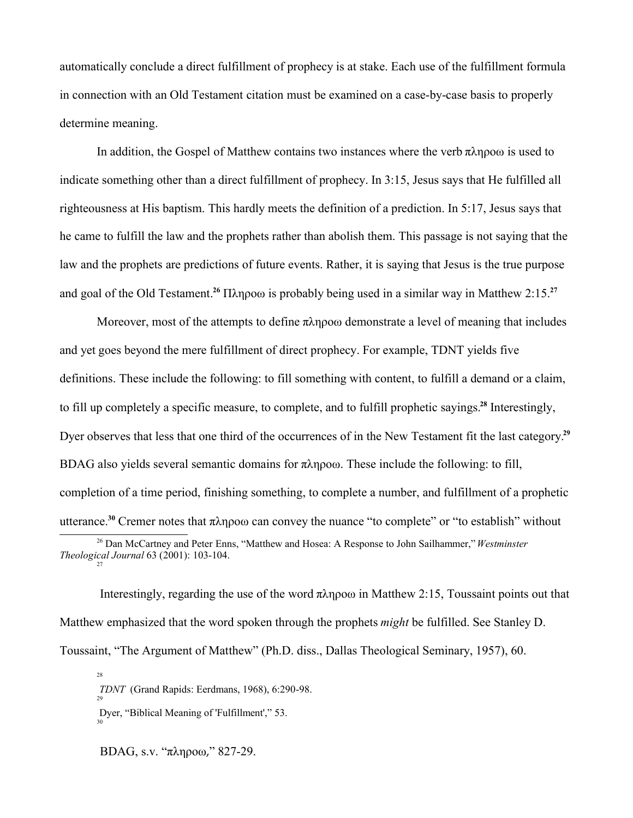automatically conclude a direct fulfillment of prophecy is at stake. Each use of the fulfillment formula in connection with an Old Testament citation must be examined on a case-by-case basis to properly determine meaning.

In addition, the Gospel of Matthew contains two instances where the verb  $\pi \lambda \eta \rho o \omega$  is used to indicate something other than a direct fulfillment of prophecy. In 3:15, Jesus says that He fulfilled all righteousness at His baptism. This hardly meets the definition of a prediction. In 5:17, Jesus says that he came to fulfill the law and the prophets rather than abolish them. This passage is not saying that the law and the prophets are predictions of future events. Rather, it is saying that Jesus is the true purpose and goal of the Old Testament.<sup>26</sup>  $\Pi\lambda$ n $\rho$ o $\omega$  is probably being used in a similar way in Matthew 2:15.<sup>27</sup>

Moreover, most of the attempts to define  $\pi \lambda \eta \rho o \omega$  demonstrate a level of meaning that includes and yet goes beyond the mere fulfillment of direct prophecy. For example, TDNT yields five definitions. These include the following: to fill something with content, to fulfill a demand or a claim, to fill up completely a specific measure, to complete, and to fulfill prophetic sayings.**<sup>28</sup>** Interestingly, Dyer observes that less that one third of the occurrences of in the New Testament fit the last category.**<sup>29</sup>** BDAG also yields several semantic domains for  $\pi \lambda \eta \rho o \omega$ . These include the following: to fill, completion of a time period, finishing something, to complete a number, and fulfillment of a prophetic utterance.<sup>30</sup> Cremer notes that  $\pi \lambda n \infty$  can convey the nuance "to complete" or "to establish" without

Interestingly, regarding the use of the word  $\pi\lambda$ npo $\omega$  in Matthew 2:15, Toussaint points out that Matthew emphasized that the word spoken through the prophets *might* be fulfilled. See Stanley D. Toussaint, "The Argument of Matthew" (Ph.D. diss., Dallas Theological Seminary, 1957), 60.

28 *TDNT* (Grand Rapids: Eerdmans, 1968), 6:290-98. 29 Dyer, "Biblical Meaning of 'Fulfillment'," 53. 30

 $BDAG$ , s.v. " $\pi\lambda n \rho o \omega$ ," 827-29.

<sup>26</sup> Dan McCartney and Peter Enns, "Matthew and Hosea: A Response to John Sailhammer," *Westminster Theological Journal* 63 (2001): 103-104. 27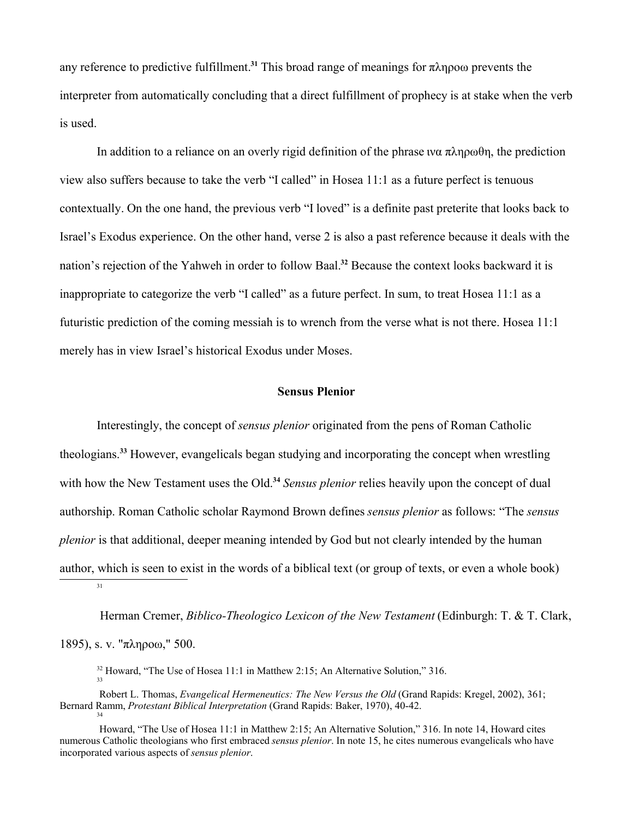any reference to predictive fulfillment.<sup>31</sup> This broad range of meanings for  $\pi \lambda \eta \rho o \omega$  prevents the interpreter from automatically concluding that a direct fulfillment of prophecy is at stake when the verb is used.

In addition to a reliance on an overly rigid definition of the phrase wa  $\pi\lambda\eta\rho\omega\theta\eta$ , the prediction view also suffers because to take the verb "I called" in Hosea 11:1 as a future perfect is tenuous contextually. On the one hand, the previous verb "I loved" is a definite past preterite that looks back to Israel's Exodus experience. On the other hand, verse 2 is also a past reference because it deals with the nation's rejection of the Yahweh in order to follow Baal.**<sup>32</sup>** Because the context looks backward it is inappropriate to categorize the verb "I called" as a future perfect. In sum, to treat Hosea 11:1 as a futuristic prediction of the coming messiah is to wrench from the verse what is not there. Hosea 11:1 merely has in view Israel's historical Exodus under Moses.

### **Sensus Plenior**

Interestingly, the concept of *sensus plenior* originated from the pens of Roman Catholic theologians.**<sup>33</sup>** However, evangelicals began studying and incorporating the concept when wrestling with how the New Testament uses the Old.<sup>34</sup> *Sensus plenior* relies heavily upon the concept of dual authorship. Roman Catholic scholar Raymond Brown defines *sensus plenior* as follows: "The *sensus plenior* is that additional, deeper meaning intended by God but not clearly intended by the human author, which is seen to exist in the words of a biblical text (or group of texts, or even a whole book) 31

 Herman Cremer, *Biblico-Theologico Lexicon of the New Testament* (Edinburgh: T. & T. Clark, 1895), s. v. " $\pi \lambda \eta \rho \omega$ ," 500.

<sup>32</sup> Howard, "The Use of Hosea 11:1 in Matthew 2:15; An Alternative Solution," 316. 33

 Robert L. Thomas, *Evangelical Hermeneutics: The New Versus the Old* (Grand Rapids: Kregel, 2002), 361; Bernard Ramm, *Protestant Biblical Interpretation* (Grand Rapids: Baker, 1970), 40-42. 34

Howard, "The Use of Hosea 11:1 in Matthew 2:15; An Alternative Solution," 316. In note 14, Howard cites numerous Catholic theologians who first embraced *sensus plenior*. In note 15, he cites numerous evangelicals who have incorporated various aspects of *sensus plenior*.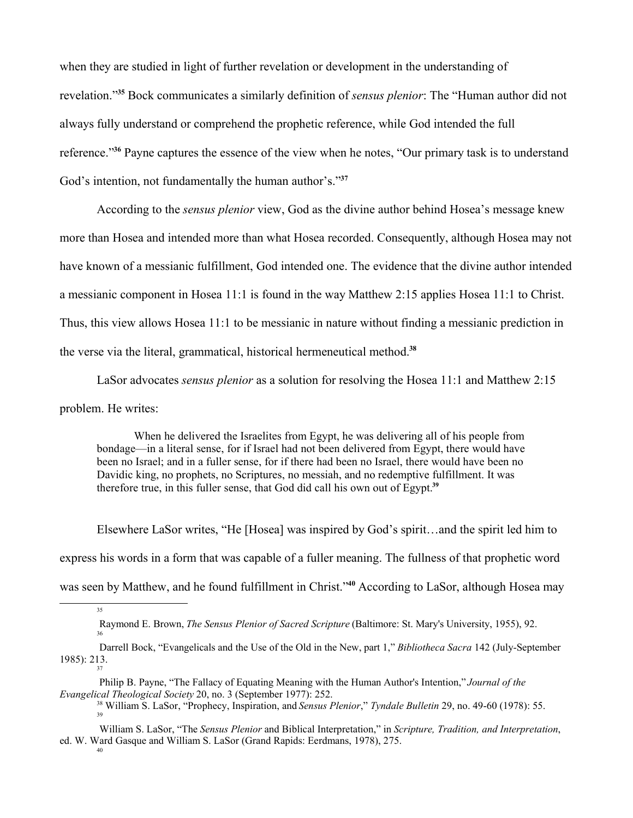when they are studied in light of further revelation or development in the understanding of revelation."**<sup>35</sup>** Bock communicates a similarly definition of *sensus plenior*: The "Human author did not always fully understand or comprehend the prophetic reference, while God intended the full reference."**<sup>36</sup>** Payne captures the essence of the view when he notes, "Our primary task is to understand God's intention, not fundamentally the human author's."**<sup>37</sup>**

According to the *sensus plenior* view, God as the divine author behind Hosea's message knew more than Hosea and intended more than what Hosea recorded. Consequently, although Hosea may not have known of a messianic fulfillment, God intended one. The evidence that the divine author intended a messianic component in Hosea 11:1 is found in the way Matthew 2:15 applies Hosea 11:1 to Christ. Thus, this view allows Hosea 11:1 to be messianic in nature without finding a messianic prediction in the verse via the literal, grammatical, historical hermeneutical method.**<sup>38</sup>**

LaSor advocates *sensus plenior* as a solution for resolving the Hosea 11:1 and Matthew 2:15 problem. He writes:

When he delivered the Israelites from Egypt, he was delivering all of his people from bondage—in a literal sense, for if Israel had not been delivered from Egypt, there would have been no Israel; and in a fuller sense, for if there had been no Israel, there would have been no Davidic king, no prophets, no Scriptures, no messiah, and no redemptive fulfillment. It was therefore true, in this fuller sense, that God did call his own out of Egypt.**<sup>39</sup>**

Elsewhere LaSor writes, "He [Hosea] was inspired by God's spirit…and the spirit led him to express his words in a form that was capable of a fuller meaning. The fullness of that prophetic word was seen by Matthew, and he found fulfillment in Christ."**<sup>40</sup>** According to LaSor, although Hosea may

35

36

 Philip B. Payne, "The Fallacy of Equating Meaning with the Human Author's Intention," *Journal of the Evangelical Theological Society* 20, no. 3 (September 1977): 252.

<sup>38</sup> William S. LaSor, "Prophecy, Inspiration, and *Sensus Plenior*," *Tyndale Bulletin* 29, no. 49-60 (1978): 55. 39

Raymond E. Brown, *The Sensus Plenior of Sacred Scripture* (Baltimore: St. Mary's University, 1955), 92.

Darrell Bock, "Evangelicals and the Use of the Old in the New, part 1," *Bibliotheca Sacra* 142 (July-September 1985): 213. 37

William S. LaSor, "The *Sensus Plenior* and Biblical Interpretation," in *Scripture, Tradition, and Interpretation*, ed. W. Ward Gasque and William S. LaSor (Grand Rapids: Eerdmans, 1978), 275.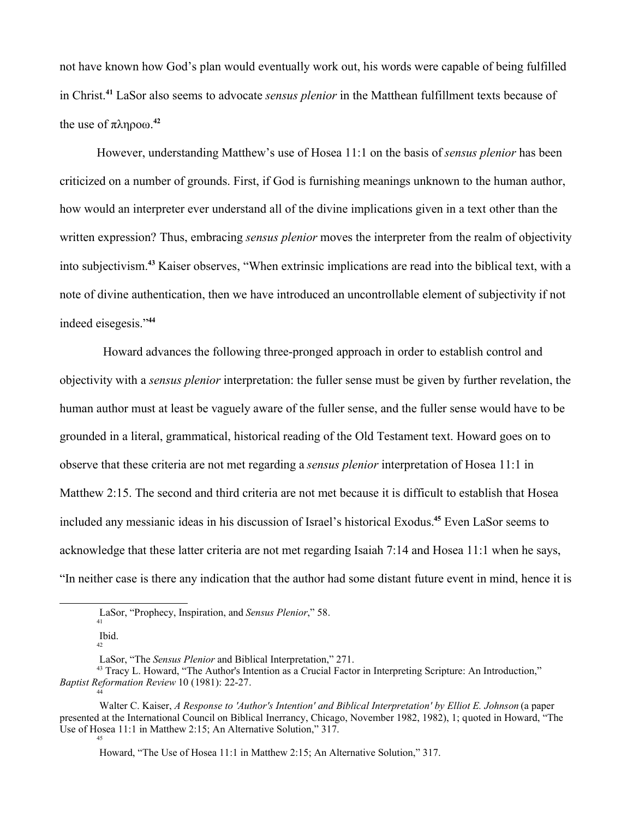not have known how God's plan would eventually work out, his words were capable of being fulfilled in Christ.**<sup>41</sup>** LaSor also seems to advocate *sensus plenior* in the Matthean fulfillment texts because of the use of  $\pi \lambda \eta \rho o \omega$ .<sup>42</sup>

However, understanding Matthew's use of Hosea 11:1 on the basis of *sensus plenior* has been criticized on a number of grounds. First, if God is furnishing meanings unknown to the human author, how would an interpreter ever understand all of the divine implications given in a text other than the written expression? Thus, embracing *sensus plenior* moves the interpreter from the realm of objectivity into subjectivism.**<sup>43</sup>** Kaiser observes, "When extrinsic implications are read into the biblical text, with a note of divine authentication, then we have introduced an uncontrollable element of subjectivity if not indeed eisegesis."**<sup>44</sup>**

 Howard advances the following three-pronged approach in order to establish control and objectivity with a *sensus plenior* interpretation: the fuller sense must be given by further revelation, the human author must at least be vaguely aware of the fuller sense, and the fuller sense would have to be grounded in a literal, grammatical, historical reading of the Old Testament text. Howard goes on to observe that these criteria are not met regarding a *sensus plenior* interpretation of Hosea 11:1 in Matthew 2:15. The second and third criteria are not met because it is difficult to establish that Hosea included any messianic ideas in his discussion of Israel's historical Exodus.**<sup>45</sup>** Even LaSor seems to acknowledge that these latter criteria are not met regarding Isaiah 7:14 and Hosea 11:1 when he says, "In neither case is there any indication that the author had some distant future event in mind, hence it is

LaSor, "Prophecy, Inspiration, and *Sensus Plenior*," 58. 41

Ibid. 42

LaSor, "The *Sensus Plenior* and Biblical Interpretation," 271.

<sup>&</sup>lt;sup>43</sup> Tracy L. Howard, "The Author's Intention as a Crucial Factor in Interpreting Scripture: An Introduction," *Baptist Reformation Review* 10 (1981): 22-27. 44

Walter C. Kaiser, *A Response to 'Author's Intention' and Biblical Interpretation' by Elliot E. Johnson* (a paper presented at the International Council on Biblical Inerrancy, Chicago, November 1982, 1982), 1; quoted in Howard, "The Use of Hosea 11:1 in Matthew 2:15; An Alternative Solution," 317. 45

Howard, "The Use of Hosea 11:1 in Matthew 2:15; An Alternative Solution," 317.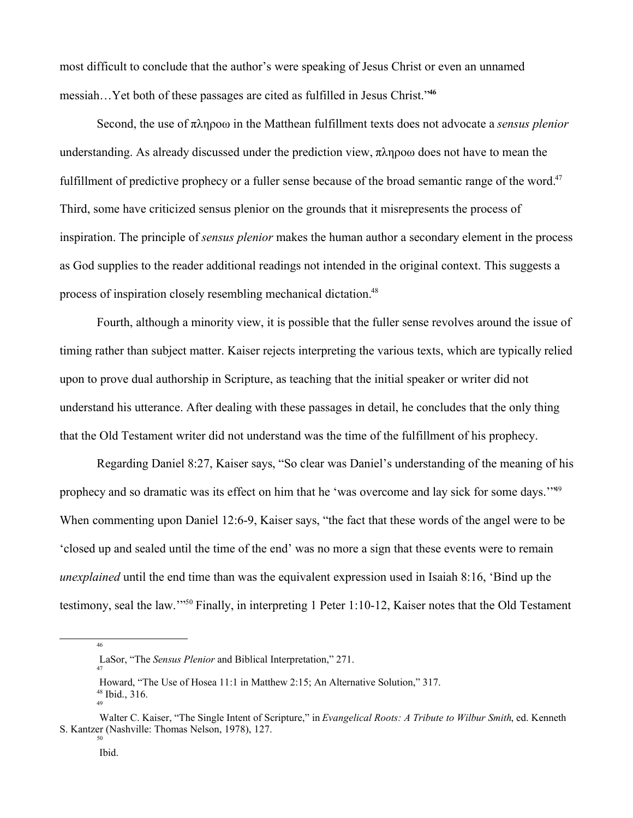most difficult to conclude that the author's were speaking of Jesus Christ or even an unnamed messiah…Yet both of these passages are cited as fulfilled in Jesus Christ."**<sup>46</sup>**

Second, the use of  $\pi \lambda \eta \rho \circ \omega$  in the Matthean fulfillment texts does not advocate a *sensus plenior* understanding. As already discussed under the prediction view,  $\pi \lambda \eta \rho o \omega$  does not have to mean the fulfillment of predictive prophecy or a fuller sense because of the broad semantic range of the word.<sup>47</sup> Third, some have criticized sensus plenior on the grounds that it misrepresents the process of inspiration. The principle of *sensus plenior* makes the human author a secondary element in the process as God supplies to the reader additional readings not intended in the original context. This suggests a process of inspiration closely resembling mechanical dictation.<sup>48</sup>

Fourth, although a minority view, it is possible that the fuller sense revolves around the issue of timing rather than subject matter. Kaiser rejects interpreting the various texts, which are typically relied upon to prove dual authorship in Scripture, as teaching that the initial speaker or writer did not understand his utterance. After dealing with these passages in detail, he concludes that the only thing that the Old Testament writer did not understand was the time of the fulfillment of his prophecy.

Regarding Daniel 8:27, Kaiser says, "So clear was Daniel's understanding of the meaning of his prophecy and so dramatic was its effect on him that he 'was overcome and lay sick for some days.'"<sup>49</sup> When commenting upon Daniel 12:6-9, Kaiser says, "the fact that these words of the angel were to be 'closed up and sealed until the time of the end' was no more a sign that these events were to remain *unexplained* until the end time than was the equivalent expression used in Isaiah 8:16, 'Bind up the testimony, seal the law.'"<sup>50</sup> Finally, in interpreting 1 Peter 1:10-12, Kaiser notes that the Old Testament

46

LaSor, "The *Sensus Plenior* and Biblical Interpretation," 271.

Howard, "The Use of Hosea 11:1 in Matthew 2:15; An Alternative Solution," 317. <sup>48</sup> Ibid., 316. 49

Walter C. Kaiser, "The Single Intent of Scripture," in *Evangelical Roots: A Tribute to Wilbur Smith*, ed. Kenneth S. Kantzer (Nashville: Thomas Nelson, 1978), 127. 50

Ibid.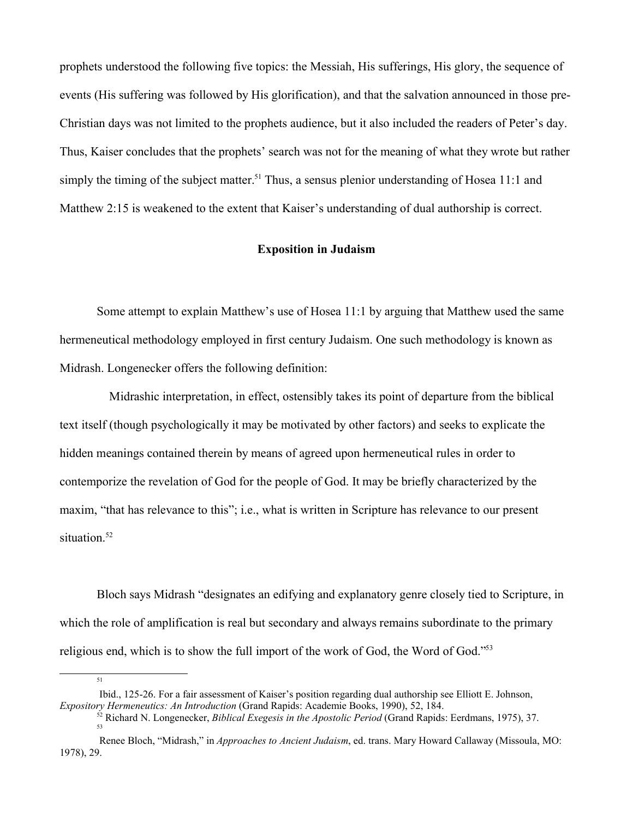prophets understood the following five topics: the Messiah, His sufferings, His glory, the sequence of events (His suffering was followed by His glorification), and that the salvation announced in those pre-Christian days was not limited to the prophets audience, but it also included the readers of Peter's day. Thus, Kaiser concludes that the prophets' search was not for the meaning of what they wrote but rather simply the timing of the subject matter.<sup>51</sup> Thus, a sensus plenior understanding of Hosea 11:1 and Matthew 2:15 is weakened to the extent that Kaiser's understanding of dual authorship is correct.

### **Exposition in Judaism**

Some attempt to explain Matthew's use of Hosea 11:1 by arguing that Matthew used the same hermeneutical methodology employed in first century Judaism. One such methodology is known as Midrash. Longenecker offers the following definition:

 Midrashic interpretation, in effect, ostensibly takes its point of departure from the biblical text itself (though psychologically it may be motivated by other factors) and seeks to explicate the hidden meanings contained therein by means of agreed upon hermeneutical rules in order to contemporize the revelation of God for the people of God. It may be briefly characterized by the maxim, "that has relevance to this"; i.e., what is written in Scripture has relevance to our present situation.<sup>52</sup>

Bloch says Midrash "designates an edifying and explanatory genre closely tied to Scripture, in which the role of amplification is real but secondary and always remains subordinate to the primary religious end, which is to show the full import of the work of God, the Word of God."<sup>53</sup>

Ibid., 125-26. For a fair assessment of Kaiser's position regarding dual authorship see Elliott E. Johnson, *Expository Hermeneutics: An Introduction* (Grand Rapids: Academie Books, 1990), 52, 184.

<sup>52</sup> Richard N. Longenecker, *Biblical Exegesis in the Apostolic Period* (Grand Rapids: Eerdmans, 1975), 37. 53

Renee Bloch, "Midrash," in *Approaches to Ancient Judaism*, ed. trans. Mary Howard Callaway (Missoula, MO: 1978), 29.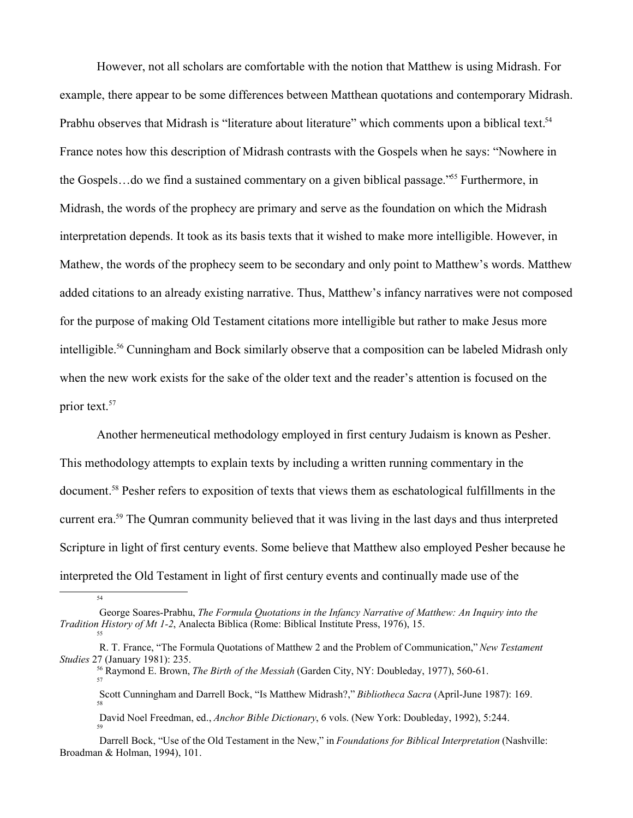However, not all scholars are comfortable with the notion that Matthew is using Midrash. For example, there appear to be some differences between Matthean quotations and contemporary Midrash. Prabhu observes that Midrash is "literature about literature" which comments upon a biblical text.<sup>54</sup> France notes how this description of Midrash contrasts with the Gospels when he says: "Nowhere in the Gospels…do we find a sustained commentary on a given biblical passage."<sup>55</sup> Furthermore, in Midrash, the words of the prophecy are primary and serve as the foundation on which the Midrash interpretation depends. It took as its basis texts that it wished to make more intelligible. However, in Mathew, the words of the prophecy seem to be secondary and only point to Matthew's words. Matthew added citations to an already existing narrative. Thus, Matthew's infancy narratives were not composed for the purpose of making Old Testament citations more intelligible but rather to make Jesus more intelligible.<sup>56</sup> Cunningham and Bock similarly observe that a composition can be labeled Midrash only when the new work exists for the sake of the older text and the reader's attention is focused on the prior text.<sup>57</sup>

Another hermeneutical methodology employed in first century Judaism is known as Pesher. This methodology attempts to explain texts by including a written running commentary in the document.<sup>58</sup> Pesher refers to exposition of texts that views them as eschatological fulfillments in the current era.<sup>59</sup> The Qumran community believed that it was living in the last days and thus interpreted Scripture in light of first century events. Some believe that Matthew also employed Pesher because he interpreted the Old Testament in light of first century events and continually made use of the

54

59

David Noel Freedman, ed., *Anchor Bible Dictionary*, 6 vols. (New York: Doubleday, 1992), 5:244.

George Soares-Prabhu, *The Formula Quotations in the Infancy Narrative of Matthew: An Inquiry into the Tradition History of Mt 1-2*, Analecta Biblica (Rome: Biblical Institute Press, 1976), 15. 55

R. T. France, "The Formula Quotations of Matthew 2 and the Problem of Communication," *New Testament Studies* 27 (January 1981): 235.

<sup>56</sup> Raymond E. Brown, *The Birth of the Messiah* (Garden City, NY: Doubleday, 1977), 560-61. 57

Scott Cunningham and Darrell Bock, "Is Matthew Midrash?," *Bibliotheca Sacra* (April-June 1987): 169. 58

Darrell Bock, "Use of the Old Testament in the New," in *Foundations for Biblical Interpretation* (Nashville: Broadman & Holman, 1994), 101.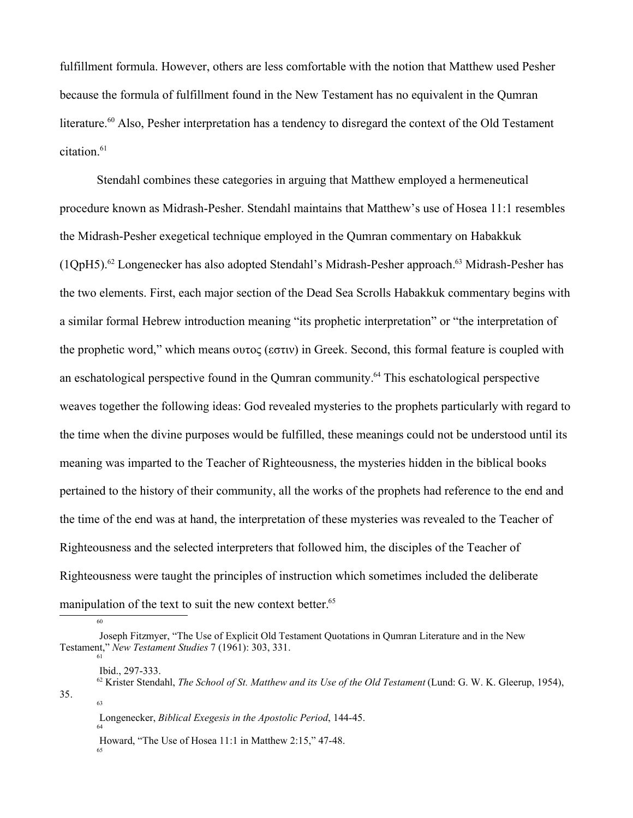fulfillment formula. However, others are less comfortable with the notion that Matthew used Pesher because the formula of fulfillment found in the New Testament has no equivalent in the Qumran literature.<sup>60</sup> Also, Pesher interpretation has a tendency to disregard the context of the Old Testament citation.<sup>61</sup>

Stendahl combines these categories in arguing that Matthew employed a hermeneutical procedure known as Midrash-Pesher. Stendahl maintains that Matthew's use of Hosea 11:1 resembles the Midrash-Pesher exegetical technique employed in the Qumran commentary on Habakkuk (1QpH5).<sup>62</sup> Longenecker has also adopted Stendahl's Midrash-Pesher approach.<sup>63</sup> Midrash-Pesher has the two elements. First, each major section of the Dead Sea Scrolls Habakkuk commentary begins with a similar formal Hebrew introduction meaning "its prophetic interpretation" or "the interpretation of the prophetic word," which means  $\sigma$  ( $\sigma$  $\sigma$  $\sigma$ ) in Greek. Second, this formal feature is coupled with an eschatological perspective found in the Qumran community.<sup>64</sup> This eschatological perspective weaves together the following ideas: God revealed mysteries to the prophets particularly with regard to the time when the divine purposes would be fulfilled, these meanings could not be understood until its meaning was imparted to the Teacher of Righteousness, the mysteries hidden in the biblical books pertained to the history of their community, all the works of the prophets had reference to the end and the time of the end was at hand, the interpretation of these mysteries was revealed to the Teacher of Righteousness and the selected interpreters that followed him, the disciples of the Teacher of Righteousness were taught the principles of instruction which sometimes included the deliberate manipulation of the text to suit the new context better.<sup>65</sup>

65

64

Joseph Fitzmyer, "The Use of Explicit Old Testament Quotations in Qumran Literature and in the New Testament," *New Testament Studies* 7 (1961): 303, 331. 61

Ibid., 297-333.

<sup>62</sup> Krister Stendahl, *The School of St. Matthew and its Use of the Old Testament* (Lund: G. W. K. Gleerup, 1954), 35. 63

Longenecker, *Biblical Exegesis in the Apostolic Period*, 144-45.

Howard, "The Use of Hosea 11:1 in Matthew 2:15," 47-48.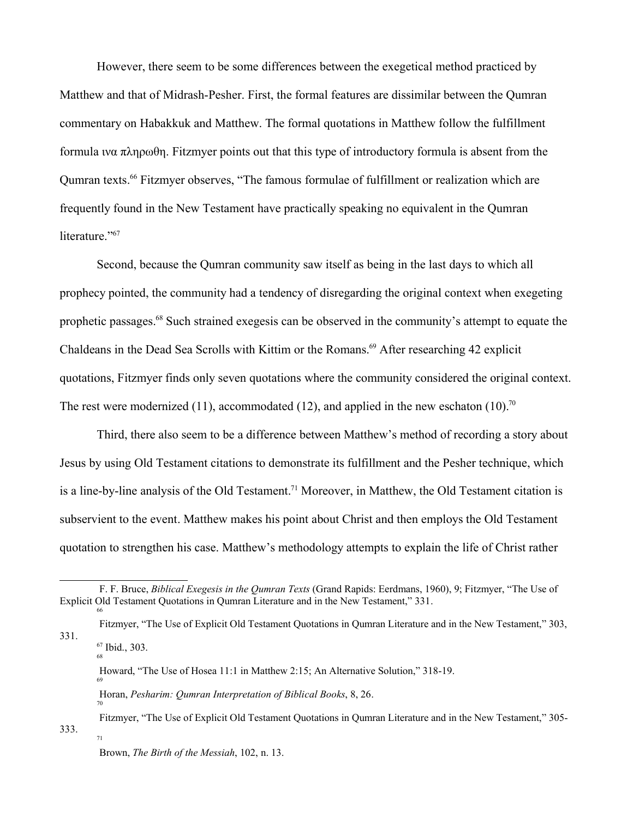However, there seem to be some differences between the exegetical method practiced by Matthew and that of Midrash-Pesher. First, the formal features are dissimilar between the Qumran commentary on Habakkuk and Matthew. The formal quotations in Matthew follow the fulfillment formula wa  $\pi \lambda \eta \rho \omega \theta$ . Fitzmyer points out that this type of introductory formula is absent from the Qumran texts.<sup>66</sup> Fitzmyer observes, "The famous formulae of fulfillment or realization which are frequently found in the New Testament have practically speaking no equivalent in the Qumran literature."<sup>67</sup>

Second, because the Qumran community saw itself as being in the last days to which all prophecy pointed, the community had a tendency of disregarding the original context when exegeting prophetic passages.<sup>68</sup> Such strained exegesis can be observed in the community's attempt to equate the Chaldeans in the Dead Sea Scrolls with Kittim or the Romans.<sup>69</sup> After researching 42 explicit quotations, Fitzmyer finds only seven quotations where the community considered the original context. The rest were modernized (11), accommodated (12), and applied in the new eschaton (10).<sup>70</sup>

Third, there also seem to be a difference between Matthew's method of recording a story about Jesus by using Old Testament citations to demonstrate its fulfillment and the Pesher technique, which is a line-by-line analysis of the Old Testament.<sup>71</sup> Moreover, in Matthew, the Old Testament citation is subservient to the event. Matthew makes his point about Christ and then employs the Old Testament quotation to strengthen his case. Matthew's methodology attempts to explain the life of Christ rather

68

70

 Fitzmyer, "The Use of Explicit Old Testament Quotations in Qumran Literature and in the New Testament," 305- 333. 71

F. F. Bruce, *Biblical Exegesis in the Qumran Texts* (Grand Rapids: Eerdmans, 1960), 9; Fitzmyer, "The Use of Explicit Old Testament Quotations in Qumran Literature and in the New Testament," 331. 66

Fitzmyer, "The Use of Explicit Old Testament Quotations in Qumran Literature and in the New Testament," 303, 331. <sup>67</sup> Ibid., 303.

Howard, "The Use of Hosea 11:1 in Matthew 2:15; An Alternative Solution," 318-19. 69

Horan, *Pesharim: Qumran Interpretation of Biblical Books*, 8, 26.

Brown, *The Birth of the Messiah*, 102, n. 13.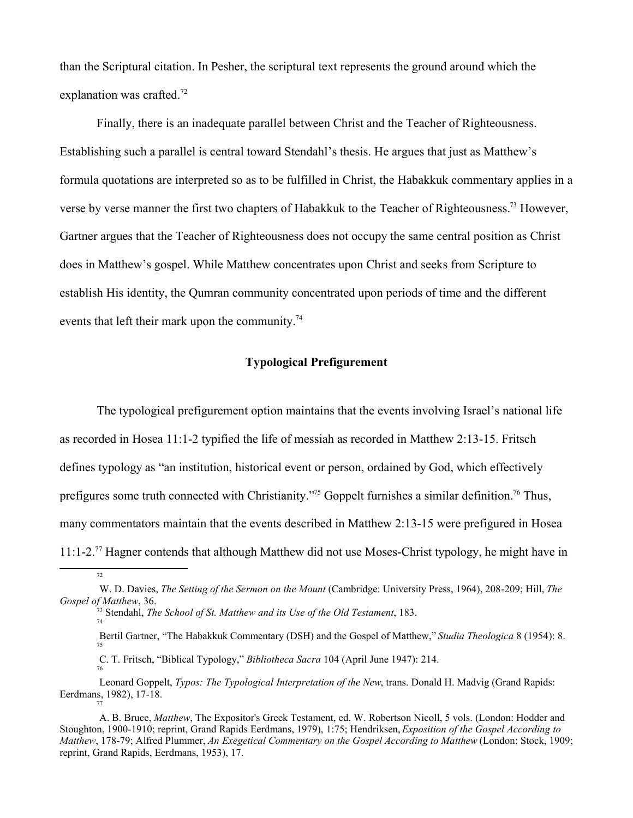than the Scriptural citation. In Pesher, the scriptural text represents the ground around which the explanation was crafted.<sup>72</sup>

Finally, there is an inadequate parallel between Christ and the Teacher of Righteousness. Establishing such a parallel is central toward Stendahl's thesis. He argues that just as Matthew's formula quotations are interpreted so as to be fulfilled in Christ, the Habakkuk commentary applies in a verse by verse manner the first two chapters of Habakkuk to the Teacher of Righteousness.<sup>73</sup> However, Gartner argues that the Teacher of Righteousness does not occupy the same central position as Christ does in Matthew's gospel. While Matthew concentrates upon Christ and seeks from Scripture to establish His identity, the Qumran community concentrated upon periods of time and the different events that left their mark upon the community.<sup>74</sup>

### **Typological Prefigurement**

The typological prefigurement option maintains that the events involving Israel's national life as recorded in Hosea 11:1-2 typified the life of messiah as recorded in Matthew 2:13-15. Fritsch defines typology as "an institution, historical event or person, ordained by God, which effectively prefigures some truth connected with Christianity.<sup>"75</sup> Goppelt furnishes a similar definition.<sup>76</sup> Thus, many commentators maintain that the events described in Matthew 2:13-15 were prefigured in Hosea 11:1-2.<sup>77</sup> Hagner contends that although Matthew did not use Moses-Christ typology, he might have in

- Bertil Gartner, "The Habakkuk Commentary (DSH) and the Gospel of Matthew," *Studia Theologica* 8 (1954): 8. 75
- C. T. Fritsch, "Biblical Typology," *Bibliotheca Sacra* 104 (April June 1947): 214. 76

W. D. Davies, *The Setting of the Sermon on the Mount* (Cambridge: University Press, 1964), 208-209; Hill, *The Gospel of Matthew*, 36.

<sup>73</sup> Stendahl, *The School of St. Matthew and its Use of the Old Testament*, 183. 74

Leonard Goppelt, *Typos: The Typological Interpretation of the New*, trans. Donald H. Madvig (Grand Rapids: Eerdmans, 1982), 17-18. 77

A. B. Bruce, *Matthew*, The Expositor's Greek Testament, ed. W. Robertson Nicoll, 5 vols. (London: Hodder and Stoughton, 1900-1910; reprint, Grand Rapids Eerdmans, 1979), 1:75; Hendriksen, *Exposition of the Gospel According to Matthew*, 178-79; Alfred Plummer, *An Exegetical Commentary on the Gospel According to Matthew* (London: Stock, 1909; reprint, Grand Rapids, Eerdmans, 1953), 17.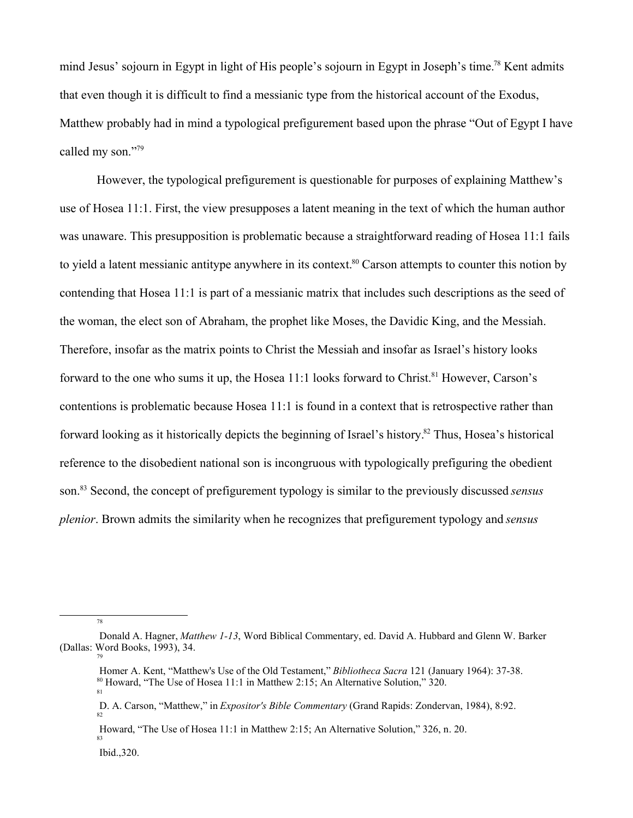mind Jesus' sojourn in Egypt in light of His people's sojourn in Egypt in Joseph's time.<sup>78</sup> Kent admits that even though it is difficult to find a messianic type from the historical account of the Exodus, Matthew probably had in mind a typological prefigurement based upon the phrase "Out of Egypt I have called my son."<sup>79</sup>

However, the typological prefigurement is questionable for purposes of explaining Matthew's use of Hosea 11:1. First, the view presupposes a latent meaning in the text of which the human author was unaware. This presupposition is problematic because a straightforward reading of Hosea 11:1 fails to yield a latent messianic antitype anywhere in its context.<sup>80</sup> Carson attempts to counter this notion by contending that Hosea 11:1 is part of a messianic matrix that includes such descriptions as the seed of the woman, the elect son of Abraham, the prophet like Moses, the Davidic King, and the Messiah. Therefore, insofar as the matrix points to Christ the Messiah and insofar as Israel's history looks forward to the one who sums it up, the Hosea  $11:1$  looks forward to Christ.<sup>81</sup> However, Carson's contentions is problematic because Hosea 11:1 is found in a context that is retrospective rather than forward looking as it historically depicts the beginning of Israel's history.<sup>82</sup> Thus, Hosea's historical reference to the disobedient national son is incongruous with typologically prefiguring the obedient son.<sup>83</sup> Second, the concept of prefigurement typology is similar to the previously discussed *sensus plenior*. Brown admits the similarity when he recognizes that prefigurement typology and *sensus*

 Howard, "The Use of Hosea 11:1 in Matthew 2:15; An Alternative Solution," 326, n. 20. 83

Ibid.,320.

78

Donald A. Hagner, *Matthew 1-13*, Word Biblical Commentary, ed. David A. Hubbard and Glenn W. Barker (Dallas: Word Books, 1993), 34.

Homer A. Kent, "Matthew's Use of the Old Testament," *Bibliotheca Sacra* 121 (January 1964): 37-38. <sup>80</sup> Howard, "The Use of Hosea 11:1 in Matthew 2:15; An Alternative Solution," 320. 81

D. A. Carson, "Matthew," in *Expositor's Bible Commentary* (Grand Rapids: Zondervan, 1984), 8:92. 82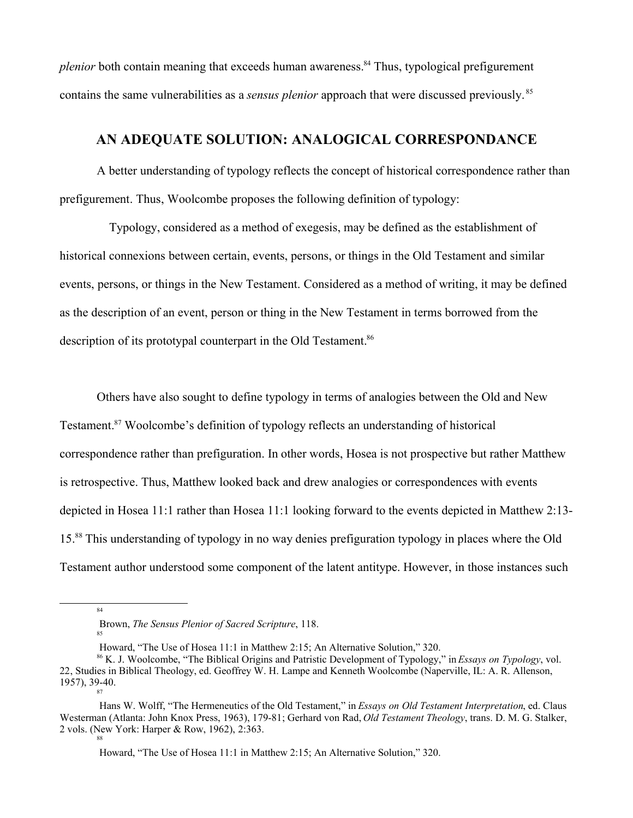*plenior* both contain meaning that exceeds human awareness.<sup>84</sup> Thus, typological prefigurement contains the same vulnerabilities as a *sensus plenior* approach that were discussed previously.<sup>85</sup>

# **AN ADEQUATE SOLUTION: ANALOGICAL CORRESPONDANCE**

A better understanding of typology reflects the concept of historical correspondence rather than prefigurement. Thus, Woolcombe proposes the following definition of typology:

 Typology, considered as a method of exegesis, may be defined as the establishment of historical connexions between certain, events, persons, or things in the Old Testament and similar events, persons, or things in the New Testament. Considered as a method of writing, it may be defined as the description of an event, person or thing in the New Testament in terms borrowed from the description of its prototypal counterpart in the Old Testament.<sup>86</sup>

Others have also sought to define typology in terms of analogies between the Old and New Testament.<sup>87</sup> Woolcombe's definition of typology reflects an understanding of historical correspondence rather than prefiguration. In other words, Hosea is not prospective but rather Matthew is retrospective. Thus, Matthew looked back and drew analogies or correspondences with events depicted in Hosea 11:1 rather than Hosea 11:1 looking forward to the events depicted in Matthew 2:13- 15.<sup>88</sup> This understanding of typology in no way denies prefiguration typology in places where the Old Testament author understood some component of the latent antitype. However, in those instances such

84

85

Howard, "The Use of Hosea 11:1 in Matthew 2:15; An Alternative Solution," 320.

Brown, *The Sensus Plenior of Sacred Scripture*, 118.

Howard, "The Use of Hosea 11:1 in Matthew 2:15; An Alternative Solution," 320.

<sup>86</sup> K. J. Woolcombe, "The Biblical Origins and Patristic Development of Typology," in *Essays on Typology*, vol. 22, Studies in Biblical Theology, ed. Geoffrey W. H. Lampe and Kenneth Woolcombe (Naperville, IL: A. R. Allenson, 1957), 39-40. 87

Hans W. Wolff, "The Hermeneutics of the Old Testament," in *Essays on Old Testament Interpretation*, ed. Claus Westerman (Atlanta: John Knox Press, 1963), 179-81; Gerhard von Rad, *Old Testament Theology*, trans. D. M. G. Stalker, 2 vols. (New York: Harper & Row, 1962), 2:363. 88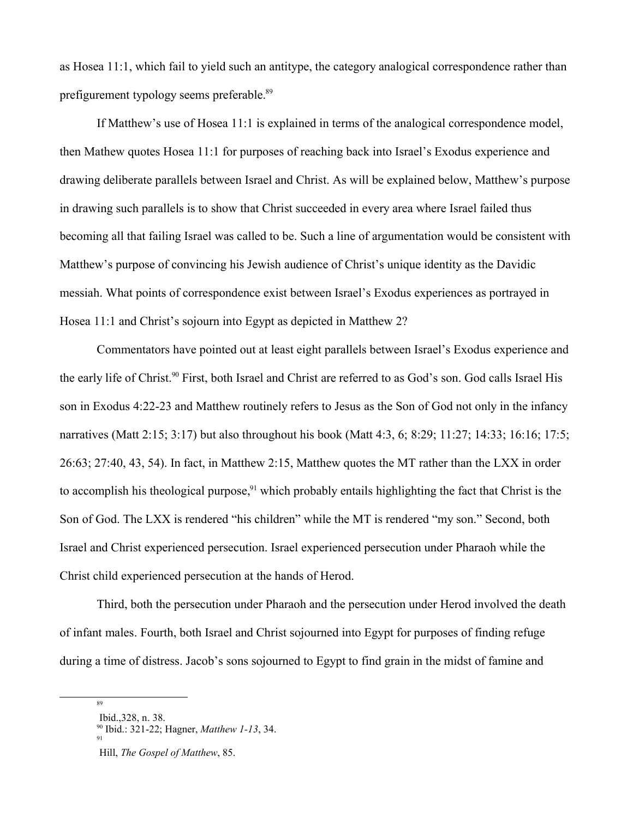as Hosea 11:1, which fail to yield such an antitype, the category analogical correspondence rather than prefigurement typology seems preferable.<sup>89</sup>

If Matthew's use of Hosea 11:1 is explained in terms of the analogical correspondence model, then Mathew quotes Hosea 11:1 for purposes of reaching back into Israel's Exodus experience and drawing deliberate parallels between Israel and Christ. As will be explained below, Matthew's purpose in drawing such parallels is to show that Christ succeeded in every area where Israel failed thus becoming all that failing Israel was called to be. Such a line of argumentation would be consistent with Matthew's purpose of convincing his Jewish audience of Christ's unique identity as the Davidic messiah. What points of correspondence exist between Israel's Exodus experiences as portrayed in Hosea 11:1 and Christ's sojourn into Egypt as depicted in Matthew 2?

Commentators have pointed out at least eight parallels between Israel's Exodus experience and the early life of Christ.<sup>90</sup> First, both Israel and Christ are referred to as God's son. God calls Israel His son in Exodus 4:22-23 and Matthew routinely refers to Jesus as the Son of God not only in the infancy narratives (Matt 2:15; 3:17) but also throughout his book (Matt 4:3, 6; 8:29; 11:27; 14:33; 16:16; 17:5; 26:63; 27:40, 43, 54). In fact, in Matthew 2:15, Matthew quotes the MT rather than the LXX in order to accomplish his theological purpose,<sup>91</sup> which probably entails highlighting the fact that Christ is the Son of God. The LXX is rendered "his children" while the MT is rendered "my son." Second, both Israel and Christ experienced persecution. Israel experienced persecution under Pharaoh while the Christ child experienced persecution at the hands of Herod.

Third, both the persecution under Pharaoh and the persecution under Herod involved the death of infant males. Fourth, both Israel and Christ sojourned into Egypt for purposes of finding refuge during a time of distress. Jacob's sons sojourned to Egypt to find grain in the midst of famine and

<sup>89</sup>

Ibid.,328, n. 38.

<sup>90</sup> Ibid.: 321-22; Hagner, *Matthew 1-13*, 34. 91

Hill, *The Gospel of Matthew*, 85.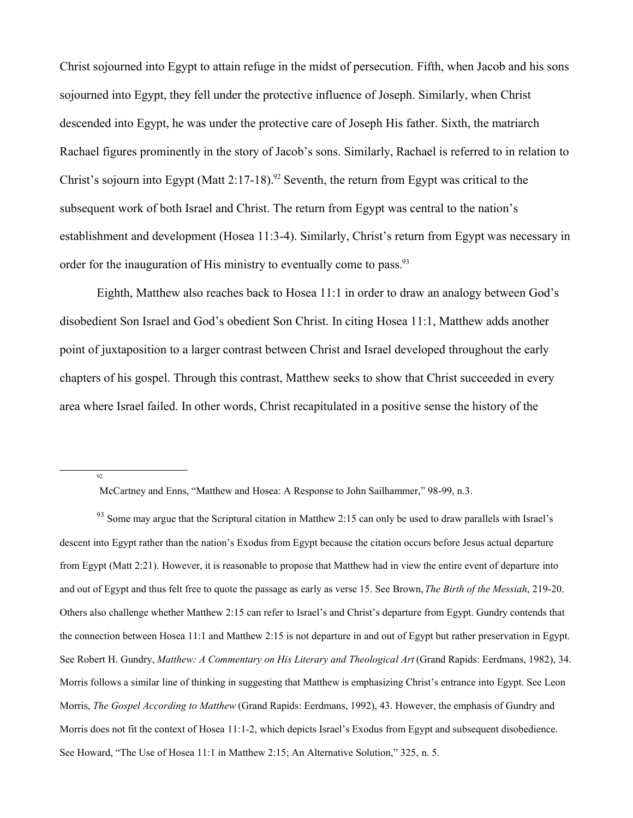Christ sojourned into Egypt to attain refuge in the midst of persecution. Fifth, when Jacob and his sons sojourned into Egypt, they fell under the protective influence of Joseph. Similarly, when Christ descended into Egypt, he was under the protective care of Joseph His father. Sixth, the matriarch Rachael figures prominently in the story of Jacob's sons. Similarly, Rachael is referred to in relation to Christ's sojourn into Egypt (Matt 2:17-18).<sup>92</sup> Seventh, the return from Egypt was critical to the subsequent work of both Israel and Christ. The return from Egypt was central to the nation's establishment and development (Hosea 11:3-4). Similarly, Christ's return from Egypt was necessary in order for the inauguration of His ministry to eventually come to pass.<sup>93</sup>

Eighth, Matthew also reaches back to Hosea 11:1 in order to draw an analogy between God's disobedient Son Israel and God's obedient Son Christ. In citing Hosea 11:1, Matthew adds another point of juxtaposition to a larger contrast between Christ and Israel developed throughout the early chapters of his gospel. Through this contrast, Matthew seeks to show that Christ succeeded in every area where Israel failed. In other words, Christ recapitulated in a positive sense the history of the

McCartney and Enns, "Matthew and Hosea: A Response to John Sailhammer," 98-99, n.3.

 $93$  Some may argue that the Scriptural citation in Matthew 2:15 can only be used to draw parallels with Israel's descent into Egypt rather than the nation's Exodus from Egypt because the citation occurs before Jesus actual departure from Egypt (Matt 2:21). However, it is reasonable to propose that Matthew had in view the entire event of departure into and out of Egypt and thus felt free to quote the passage as early as verse 15. See Brown, *The Birth of the Messiah*, 219-20. Others also challenge whether Matthew 2:15 can refer to Israel's and Christ's departure from Egypt. Gundry contends that the connection between Hosea 11:1 and Matthew 2:15 is not departure in and out of Egypt but rather preservation in Egypt. See Robert H. Gundry, *Matthew: A Commentary on His Literary and Theological Art* (Grand Rapids: Eerdmans, 1982), 34. Morris follows a similar line of thinking in suggesting that Matthew is emphasizing Christ's entrance into Egypt. See Leon Morris, *The Gospel According to Matthew* (Grand Rapids: Eerdmans, 1992), 43. However, the emphasis of Gundry and Morris does not fit the context of Hosea 11:1-2, which depicts Israel's Exodus from Egypt and subsequent disobedience. See Howard, "The Use of Hosea 11:1 in Matthew 2:15; An Alternative Solution," 325, n. 5.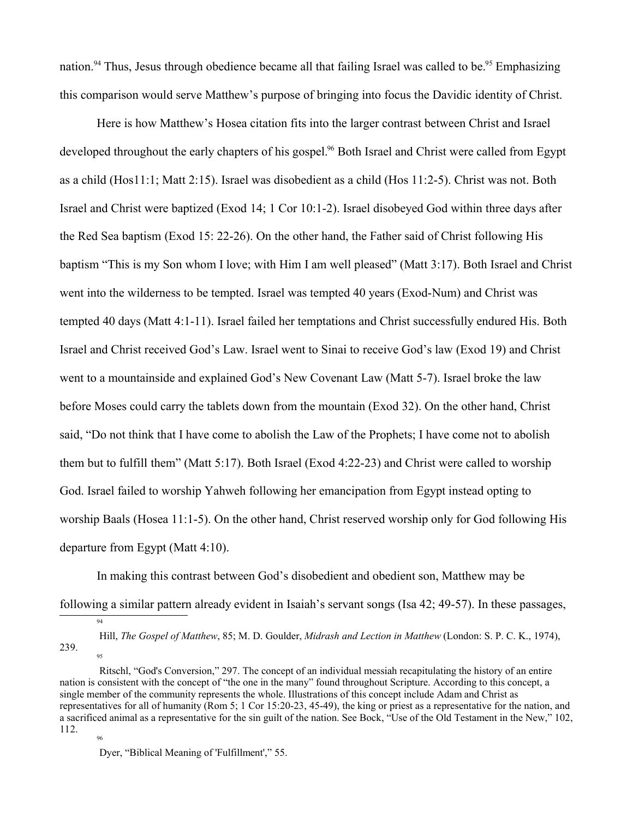nation.<sup>94</sup> Thus, Jesus through obedience became all that failing Israel was called to be.<sup>95</sup> Emphasizing this comparison would serve Matthew's purpose of bringing into focus the Davidic identity of Christ.

Here is how Matthew's Hosea citation fits into the larger contrast between Christ and Israel developed throughout the early chapters of his gospel.<sup>96</sup> Both Israel and Christ were called from Egypt as a child (Hos11:1; Matt 2:15). Israel was disobedient as a child (Hos 11:2-5). Christ was not. Both Israel and Christ were baptized (Exod 14; 1 Cor 10:1-2). Israel disobeyed God within three days after the Red Sea baptism (Exod 15: 22-26). On the other hand, the Father said of Christ following His baptism "This is my Son whom I love; with Him I am well pleased" (Matt 3:17). Both Israel and Christ went into the wilderness to be tempted. Israel was tempted 40 years (Exod-Num) and Christ was tempted 40 days (Matt 4:1-11). Israel failed her temptations and Christ successfully endured His. Both Israel and Christ received God's Law. Israel went to Sinai to receive God's law (Exod 19) and Christ went to a mountainside and explained God's New Covenant Law (Matt 5-7). Israel broke the law before Moses could carry the tablets down from the mountain (Exod 32). On the other hand, Christ said, "Do not think that I have come to abolish the Law of the Prophets; I have come not to abolish them but to fulfill them" (Matt 5:17). Both Israel (Exod 4:22-23) and Christ were called to worship God. Israel failed to worship Yahweh following her emancipation from Egypt instead opting to worship Baals (Hosea 11:1-5). On the other hand, Christ reserved worship only for God following His departure from Egypt (Matt 4:10).

In making this contrast between God's disobedient and obedient son, Matthew may be following a similar pattern already evident in Isaiah's servant songs (Isa 42; 49-57). In these passages,

Hill, *The Gospel of Matthew*, 85; M. D. Goulder, *Midrash and Lection in Matthew* (London: S. P. C. K., 1974), 239. 95

Ritschl, "God's Conversion," 297. The concept of an individual messiah recapitulating the history of an entire nation is consistent with the concept of "the one in the many" found throughout Scripture. According to this concept, a single member of the community represents the whole. Illustrations of this concept include Adam and Christ as representatives for all of humanity (Rom 5; 1 Cor 15:20-23, 45-49), the king or priest as a representative for the nation, and a sacrificed animal as a representative for the sin guilt of the nation. See Bock, "Use of the Old Testament in the New," 102, 112. 96

Dyer, "Biblical Meaning of 'Fulfillment'," 55.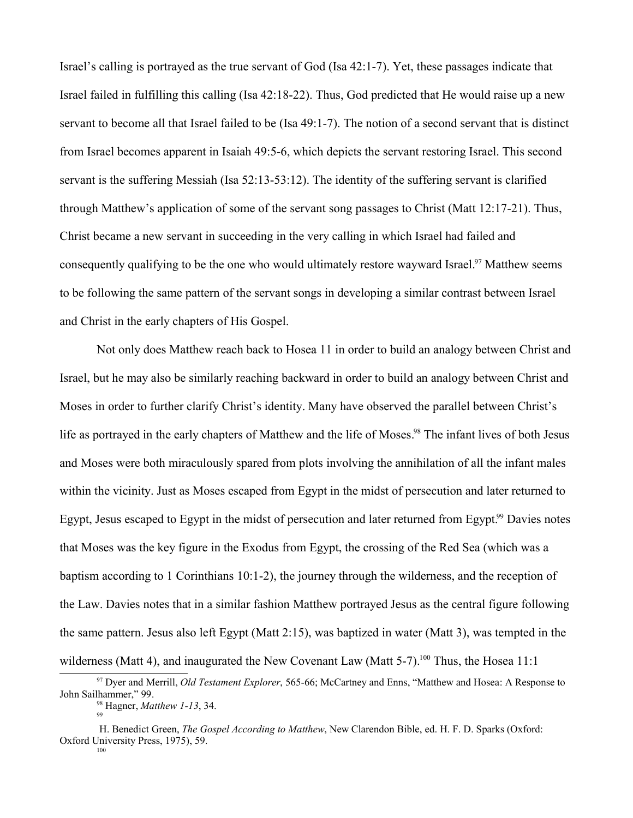Israel's calling is portrayed as the true servant of God (Isa 42:1-7). Yet, these passages indicate that Israel failed in fulfilling this calling (Isa 42:18-22). Thus, God predicted that He would raise up a new servant to become all that Israel failed to be (Isa 49:1-7). The notion of a second servant that is distinct from Israel becomes apparent in Isaiah 49:5-6, which depicts the servant restoring Israel. This second servant is the suffering Messiah (Isa 52:13-53:12). The identity of the suffering servant is clarified through Matthew's application of some of the servant song passages to Christ (Matt 12:17-21). Thus, Christ became a new servant in succeeding in the very calling in which Israel had failed and consequently qualifying to be the one who would ultimately restore wayward Israel.<sup>97</sup> Matthew seems to be following the same pattern of the servant songs in developing a similar contrast between Israel and Christ in the early chapters of His Gospel.

Not only does Matthew reach back to Hosea 11 in order to build an analogy between Christ and Israel, but he may also be similarly reaching backward in order to build an analogy between Christ and Moses in order to further clarify Christ's identity. Many have observed the parallel between Christ's life as portrayed in the early chapters of Matthew and the life of Moses.<sup>98</sup> The infant lives of both Jesus and Moses were both miraculously spared from plots involving the annihilation of all the infant males within the vicinity. Just as Moses escaped from Egypt in the midst of persecution and later returned to Egypt, Jesus escaped to Egypt in the midst of persecution and later returned from Egypt.<sup>99</sup> Davies notes that Moses was the key figure in the Exodus from Egypt, the crossing of the Red Sea (which was a baptism according to 1 Corinthians 10:1-2), the journey through the wilderness, and the reception of the Law. Davies notes that in a similar fashion Matthew portrayed Jesus as the central figure following the same pattern. Jesus also left Egypt (Matt 2:15), was baptized in water (Matt 3), was tempted in the wilderness (Matt 4), and inaugurated the New Covenant Law (Matt 5-7).<sup>100</sup> Thus, the Hosea 11:1

<sup>97</sup> Dyer and Merrill, *Old Testament Explorer*, 565-66; McCartney and Enns, "Matthew and Hosea: A Response to John Sailhammer," 99. <sup>98</sup> Hagner, *Matthew 1-13*, 34.

<sup>99</sup>

H. Benedict Green, *The Gospel According to Matthew*, New Clarendon Bible, ed. H. F. D. Sparks (Oxford: Oxford University Press, 1975), 59.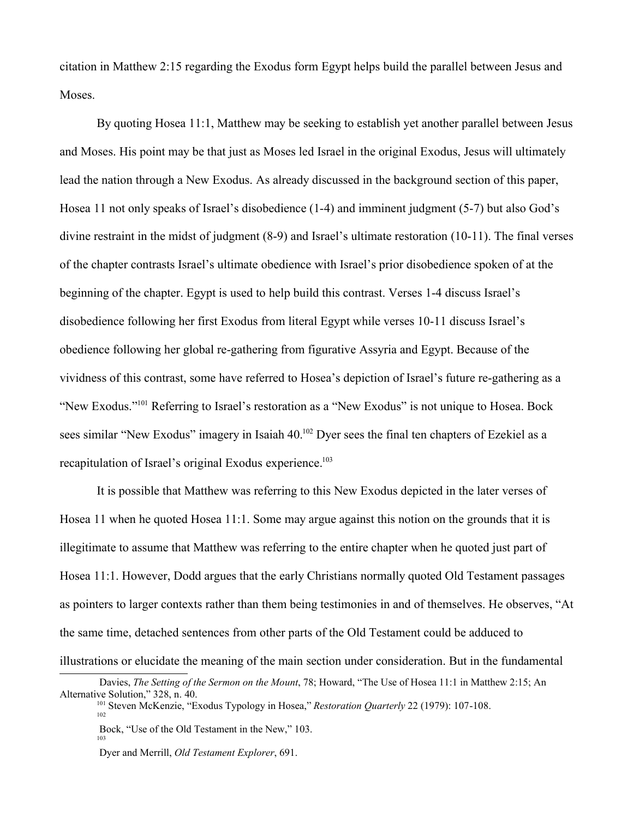citation in Matthew 2:15 regarding the Exodus form Egypt helps build the parallel between Jesus and Moses.

By quoting Hosea 11:1, Matthew may be seeking to establish yet another parallel between Jesus and Moses. His point may be that just as Moses led Israel in the original Exodus, Jesus will ultimately lead the nation through a New Exodus. As already discussed in the background section of this paper, Hosea 11 not only speaks of Israel's disobedience (1-4) and imminent judgment (5-7) but also God's divine restraint in the midst of judgment (8-9) and Israel's ultimate restoration (10-11). The final verses of the chapter contrasts Israel's ultimate obedience with Israel's prior disobedience spoken of at the beginning of the chapter. Egypt is used to help build this contrast. Verses 1-4 discuss Israel's disobedience following her first Exodus from literal Egypt while verses 10-11 discuss Israel's obedience following her global re-gathering from figurative Assyria and Egypt. Because of the vividness of this contrast, some have referred to Hosea's depiction of Israel's future re-gathering as a "New Exodus."<sup>101</sup> Referring to Israel's restoration as a "New Exodus" is not unique to Hosea. Bock sees similar "New Exodus" imagery in Isaiah 40.<sup>102</sup> Dyer sees the final ten chapters of Ezekiel as a recapitulation of Israel's original Exodus experience.<sup>103</sup>

It is possible that Matthew was referring to this New Exodus depicted in the later verses of Hosea 11 when he quoted Hosea 11:1. Some may argue against this notion on the grounds that it is illegitimate to assume that Matthew was referring to the entire chapter when he quoted just part of Hosea 11:1. However, Dodd argues that the early Christians normally quoted Old Testament passages as pointers to larger contexts rather than them being testimonies in and of themselves. He observes, "At the same time, detached sentences from other parts of the Old Testament could be adduced to illustrations or elucidate the meaning of the main section under consideration. But in the fundamental

Davies, *The Setting of the Sermon on the Mount*, 78; Howard, "The Use of Hosea 11:1 in Matthew 2:15; An Alternative Solution," 328, n. 40.

<sup>101</sup> Steven McKenzie, "Exodus Typology in Hosea," *Restoration Quarterly* 22 (1979): 107-108. 102

Bock, "Use of the Old Testament in the New," 103. 103

Dyer and Merrill, *Old Testament Explorer*, 691.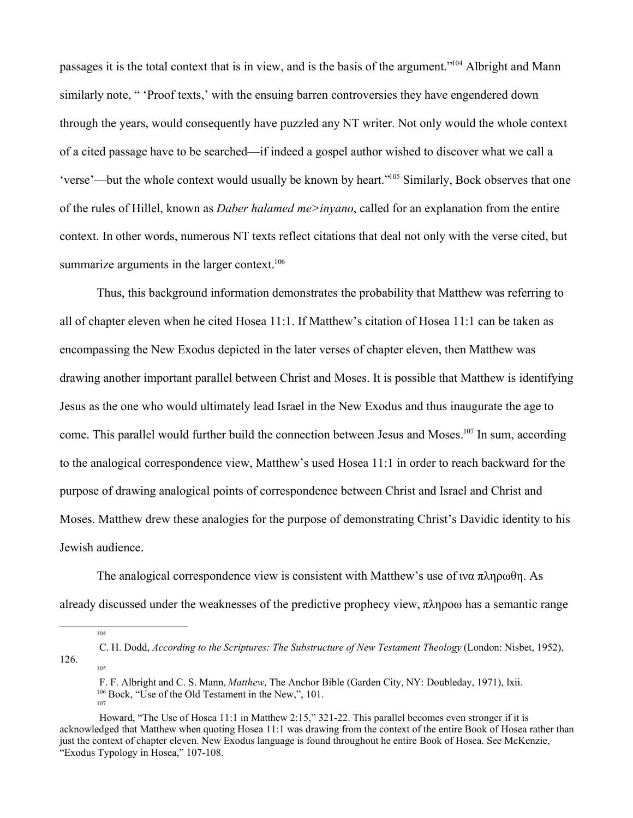passages it is the total context that is in view, and is the basis of the argument."<sup>104</sup> Albright and Mann similarly note, " 'Proof texts,' with the ensuing barren controversies they have engendered down through the years, would consequently have puzzled any NT writer. Not only would the whole context of a cited passage have to be searched—if indeed a gospel author wished to discover what we call a 'verse'—but the whole context would usually be known by heart."<sup>105</sup> Similarly, Bock observes that one of the rules of Hillel, known as *Daber halamed me>inyano*, called for an explanation from the entire context. In other words, numerous NT texts reflect citations that deal not only with the verse cited, but summarize arguments in the larger context.<sup>106</sup>

Thus, this background information demonstrates the probability that Matthew was referring to all of chapter eleven when he cited Hosea 11:1. If Matthew's citation of Hosea 11:1 can be taken as encompassing the New Exodus depicted in the later verses of chapter eleven, then Matthew was drawing another important parallel between Christ and Moses. It is possible that Matthew is identifying Jesus as the one who would ultimately lead Israel in the New Exodus and thus inaugurate the age to come. This parallel would further build the connection between Jesus and Moses.<sup>107</sup> In sum, according to the analogical correspondence view, Matthew's used Hosea 11:1 in order to reach backward for the purpose of drawing analogical points of correspondence between Christ and Israel and Christ and Moses. Matthew drew these analogies for the purpose of demonstrating Christ's Davidic identity to his Jewish audience.

The analogical correspondence view is consistent with Matthew's use of  $w\alpha \pi \lambda \eta \rho \omega \theta \eta$ . As already discussed under the weaknesses of the predictive prophecy view,  $\pi \lambda \eta \rho o \omega$  has a semantic range

104

 F. F. Albright and C. S. Mann, *Matthew*, The Anchor Bible (Garden City, NY: Doubleday, 1971), lxii. <sup>106</sup> Bock, "Use of the Old Testament in the New,", 101. 107

C. H. Dodd, *According to the Scriptures: The Substructure of New Testament Theology* (London: Nisbet, 1952), 126. 105

Howard, "The Use of Hosea 11:1 in Matthew 2:15," 321-22. This parallel becomes even stronger if it is acknowledged that Matthew when quoting Hosea 11:1 was drawing from the context of the entire Book of Hosea rather than just the context of chapter eleven. New Exodus language is found throughout he entire Book of Hosea. See McKenzie, "Exodus Typology in Hosea," 107-108.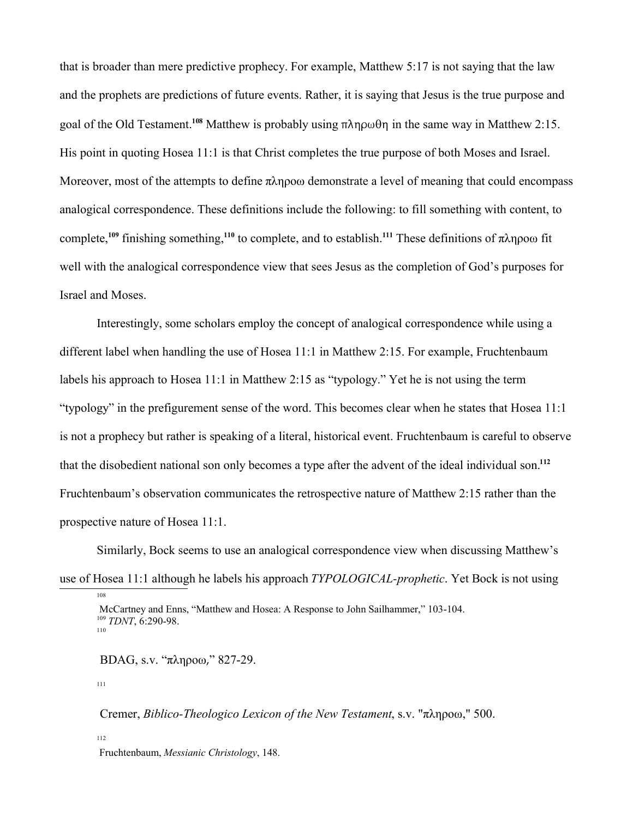that is broader than mere predictive prophecy. For example, Matthew 5:17 is not saying that the law and the prophets are predictions of future events. Rather, it is saying that Jesus is the true purpose and goal of the Old Testament.<sup>108</sup> Matthew is probably using  $\pi \lambda \eta \rho \omega \theta \eta$  in the same way in Matthew 2:15. His point in quoting Hosea 11:1 is that Christ completes the true purpose of both Moses and Israel. Moreover, most of the attempts to define  $\pi \lambda \eta \rho o \omega$  demonstrate a level of meaning that could encompass analogical correspondence. These definitions include the following: to fill something with content, to complete,<sup>109</sup> finishing something,<sup>110</sup> to complete, and to establish.<sup>111</sup> These definitions of  $\pi \lambda \eta \rho o \omega$  fit well with the analogical correspondence view that sees Jesus as the completion of God's purposes for Israel and Moses.

Interestingly, some scholars employ the concept of analogical correspondence while using a different label when handling the use of Hosea 11:1 in Matthew 2:15. For example, Fruchtenbaum labels his approach to Hosea 11:1 in Matthew 2:15 as "typology." Yet he is not using the term "typology" in the prefigurement sense of the word. This becomes clear when he states that Hosea 11:1 is not a prophecy but rather is speaking of a literal, historical event. Fruchtenbaum is careful to observe that the disobedient national son only becomes a type after the advent of the ideal individual son.**<sup>112</sup>** Fruchtenbaum's observation communicates the retrospective nature of Matthew 2:15 rather than the prospective nature of Hosea 11:1.

Similarly, Bock seems to use an analogical correspondence view when discussing Matthew's use of Hosea 11:1 although he labels his approach *TYPOLOGICAL-prophetic*. Yet Bock is not using

 $BDAG$ , s.v. " $\pi\lambda$ ηροω," 827-29.

111

108

Cremer, *Biblico-Theologico Lexicon of the New Testament*, s.v. "πληροω," 500.

112

Fruchtenbaum, *Messianic Christology*, 148.

McCartney and Enns, "Matthew and Hosea: A Response to John Sailhammer," 103-104. <sup>109</sup> *TDNT*, 6:290-98. 110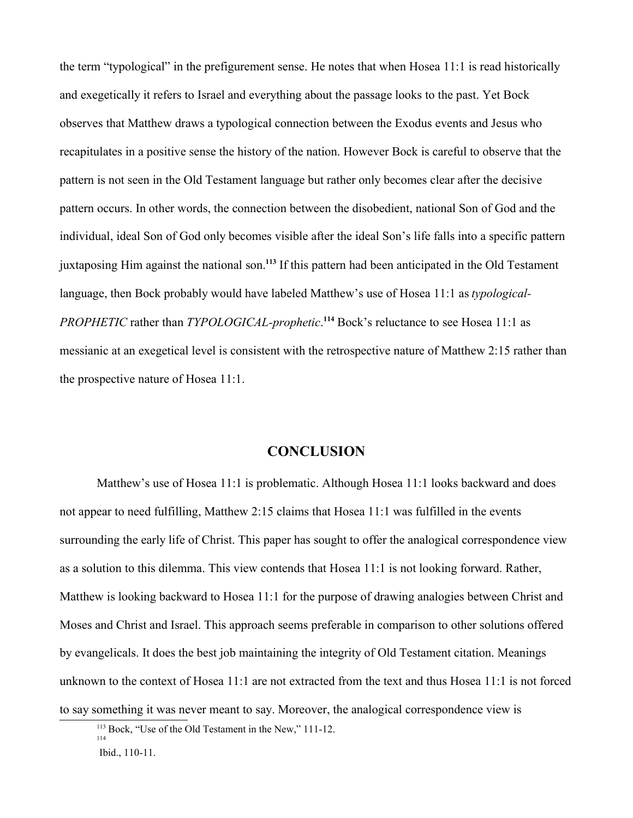the term "typological" in the prefigurement sense. He notes that when Hosea 11:1 is read historically and exegetically it refers to Israel and everything about the passage looks to the past. Yet Bock observes that Matthew draws a typological connection between the Exodus events and Jesus who recapitulates in a positive sense the history of the nation. However Bock is careful to observe that the pattern is not seen in the Old Testament language but rather only becomes clear after the decisive pattern occurs. In other words, the connection between the disobedient, national Son of God and the individual, ideal Son of God only becomes visible after the ideal Son's life falls into a specific pattern juxtaposing Him against the national son.**<sup>113</sup>** If this pattern had been anticipated in the Old Testament language, then Bock probably would have labeled Matthew's use of Hosea 11:1 as *typological-PROPHETIC* rather than *TYPOLOGICAL-prophetic*. **<sup>114</sup>** Bock's reluctance to see Hosea 11:1 as messianic at an exegetical level is consistent with the retrospective nature of Matthew 2:15 rather than the prospective nature of Hosea 11:1.

# **CONCLUSION**

Matthew's use of Hosea 11:1 is problematic. Although Hosea 11:1 looks backward and does not appear to need fulfilling, Matthew 2:15 claims that Hosea 11:1 was fulfilled in the events surrounding the early life of Christ. This paper has sought to offer the analogical correspondence view as a solution to this dilemma. This view contends that Hosea 11:1 is not looking forward. Rather, Matthew is looking backward to Hosea 11:1 for the purpose of drawing analogies between Christ and Moses and Christ and Israel. This approach seems preferable in comparison to other solutions offered by evangelicals. It does the best job maintaining the integrity of Old Testament citation. Meanings unknown to the context of Hosea 11:1 are not extracted from the text and thus Hosea 11:1 is not forced to say something it was never meant to say. Moreover, the analogical correspondence view is

<sup>113</sup> Bock, "Use of the Old Testament in the New," 111-12. 114

Ibid., 110-11.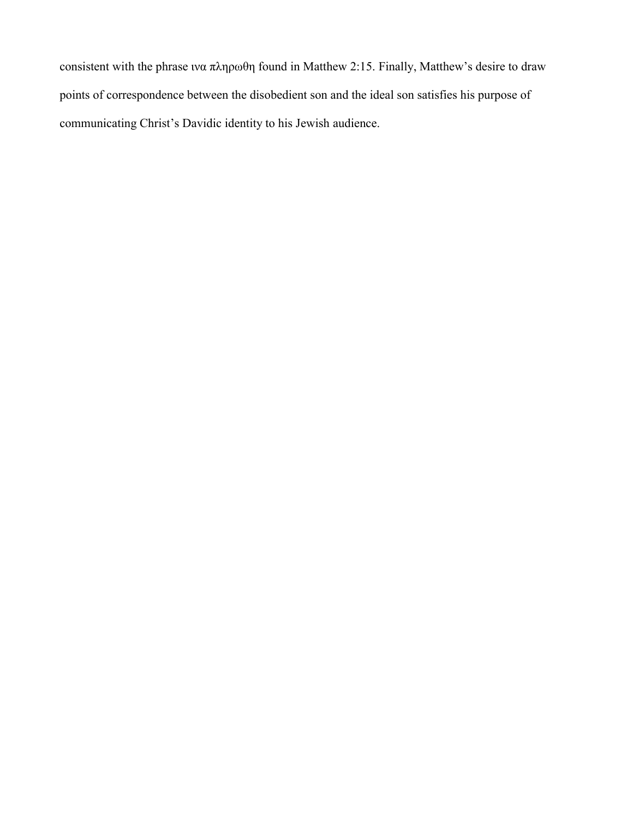consistent with the phrase  $w\alpha \pi \lambda \eta \rho \omega \theta \eta$  found in Matthew 2:15. Finally, Matthew's desire to draw points of correspondence between the disobedient son and the ideal son satisfies his purpose of communicating Christ's Davidic identity to his Jewish audience.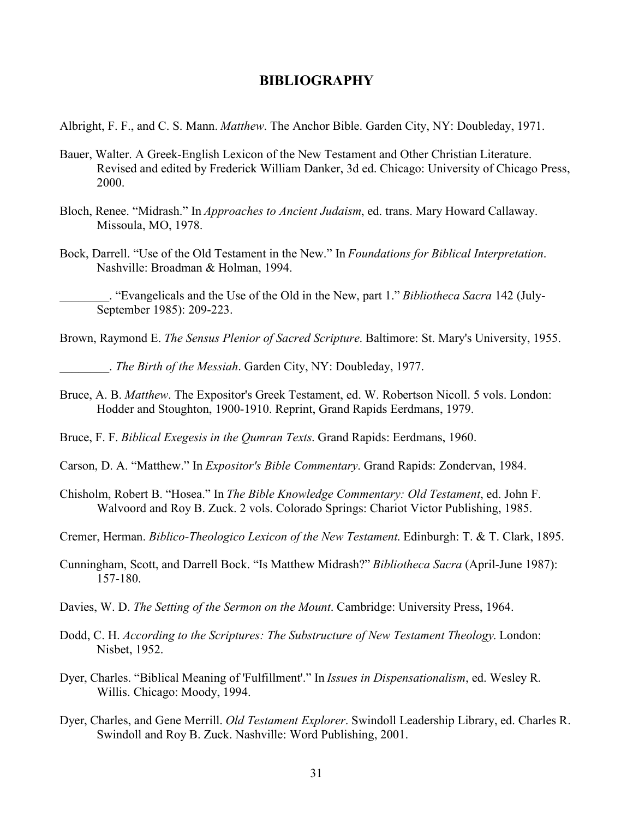# **BIBLIOGRAPHY**

Albright, F. F., and C. S. Mann. *Matthew*. The Anchor Bible. Garden City, NY: Doubleday, 1971.

- Bauer, Walter. A Greek-English Lexicon of the New Testament and Other Christian Literature. Revised and edited by Frederick William Danker, 3d ed. Chicago: University of Chicago Press, 2000.
- Bloch, Renee. "Midrash." In *Approaches to Ancient Judaism*, ed. trans. Mary Howard Callaway. Missoula, MO, 1978.
- Bock, Darrell. "Use of the Old Testament in the New." In *Foundations for Biblical Interpretation*. Nashville: Broadman & Holman, 1994.

\_\_\_\_\_\_\_\_. "Evangelicals and the Use of the Old in the New, part 1." *Bibliotheca Sacra* 142 (July-September 1985): 209-223.

Brown, Raymond E. *The Sensus Plenior of Sacred Scripture*. Baltimore: St. Mary's University, 1955.

\_\_\_\_\_\_\_\_. *The Birth of the Messiah*. Garden City, NY: Doubleday, 1977.

Bruce, A. B. *Matthew*. The Expositor's Greek Testament, ed. W. Robertson Nicoll. 5 vols. London: Hodder and Stoughton, 1900-1910. Reprint, Grand Rapids Eerdmans, 1979.

Bruce, F. F. *Biblical Exegesis in the Qumran Texts*. Grand Rapids: Eerdmans, 1960.

- Carson, D. A. "Matthew." In *Expositor's Bible Commentary*. Grand Rapids: Zondervan, 1984.
- Chisholm, Robert B. "Hosea." In *The Bible Knowledge Commentary: Old Testament*, ed. John F. Walvoord and Roy B. Zuck. 2 vols. Colorado Springs: Chariot Victor Publishing, 1985.
- Cremer, Herman. *Biblico-Theologico Lexicon of the New Testament*. Edinburgh: T. & T. Clark, 1895.
- Cunningham, Scott, and Darrell Bock. "Is Matthew Midrash?" *Bibliotheca Sacra* (April-June 1987): 157-180.
- Davies, W. D. *The Setting of the Sermon on the Mount*. Cambridge: University Press, 1964.
- Dodd, C. H. *According to the Scriptures: The Substructure of New Testament Theology*. London: Nisbet, 1952.
- Dyer, Charles. "Biblical Meaning of 'Fulfillment'." In *Issues in Dispensationalism*, ed. Wesley R. Willis. Chicago: Moody, 1994.
- Dyer, Charles, and Gene Merrill. *Old Testament Explorer*. Swindoll Leadership Library, ed. Charles R. Swindoll and Roy B. Zuck. Nashville: Word Publishing, 2001.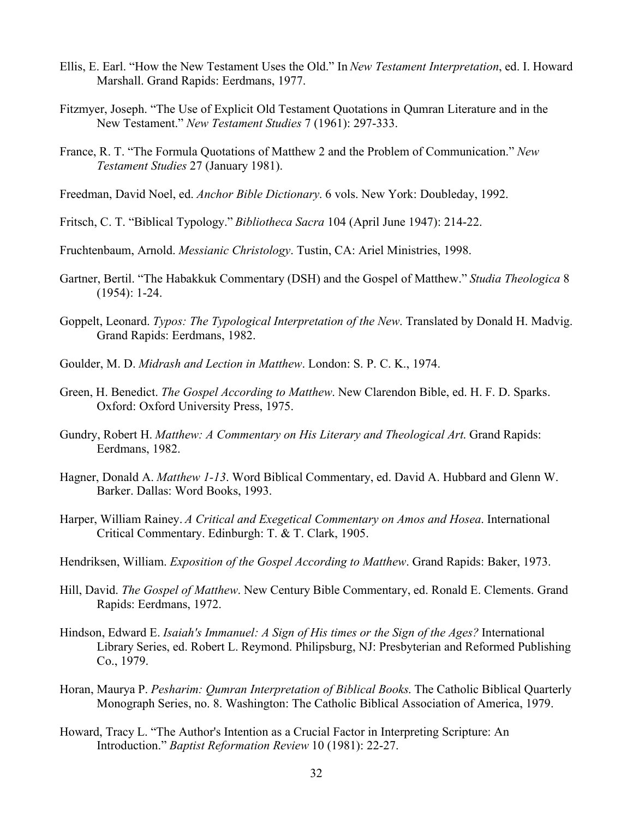- Ellis, E. Earl. "How the New Testament Uses the Old." In *New Testament Interpretation*, ed. I. Howard Marshall. Grand Rapids: Eerdmans, 1977.
- Fitzmyer, Joseph. "The Use of Explicit Old Testament Quotations in Qumran Literature and in the New Testament." *New Testament Studies* 7 (1961): 297-333.
- France, R. T. "The Formula Quotations of Matthew 2 and the Problem of Communication." *New Testament Studies* 27 (January 1981).
- Freedman, David Noel, ed. *Anchor Bible Dictionary*. 6 vols. New York: Doubleday, 1992.
- Fritsch, C. T. "Biblical Typology." *Bibliotheca Sacra* 104 (April June 1947): 214-22.
- Fruchtenbaum, Arnold. *Messianic Christology*. Tustin, CA: Ariel Ministries, 1998.
- Gartner, Bertil. "The Habakkuk Commentary (DSH) and the Gospel of Matthew." *Studia Theologica* 8 (1954): 1-24.
- Goppelt, Leonard. *Typos: The Typological Interpretation of the New*. Translated by Donald H. Madvig. Grand Rapids: Eerdmans, 1982.
- Goulder, M. D. *Midrash and Lection in Matthew*. London: S. P. C. K., 1974.
- Green, H. Benedict. *The Gospel According to Matthew*. New Clarendon Bible, ed. H. F. D. Sparks. Oxford: Oxford University Press, 1975.
- Gundry, Robert H. *Matthew: A Commentary on His Literary and Theological Art*. Grand Rapids: Eerdmans, 1982.
- Hagner, Donald A. *Matthew 1-13*. Word Biblical Commentary, ed. David A. Hubbard and Glenn W. Barker. Dallas: Word Books, 1993.
- Harper, William Rainey. *A Critical and Exegetical Commentary on Amos and Hosea*. International Critical Commentary. Edinburgh: T. & T. Clark, 1905.
- Hendriksen, William. *Exposition of the Gospel According to Matthew*. Grand Rapids: Baker, 1973.
- Hill, David. *The Gospel of Matthew*. New Century Bible Commentary, ed. Ronald E. Clements. Grand Rapids: Eerdmans, 1972.
- Hindson, Edward E. *Isaiah's Immanuel: A Sign of His times or the Sign of the Ages?* International Library Series, ed. Robert L. Reymond. Philipsburg, NJ: Presbyterian and Reformed Publishing Co., 1979.
- Horan, Maurya P. *Pesharim: Qumran Interpretation of Biblical Books*. The Catholic Biblical Quarterly Monograph Series, no. 8. Washington: The Catholic Biblical Association of America, 1979.
- Howard, Tracy L. "The Author's Intention as a Crucial Factor in Interpreting Scripture: An Introduction." *Baptist Reformation Review* 10 (1981): 22-27.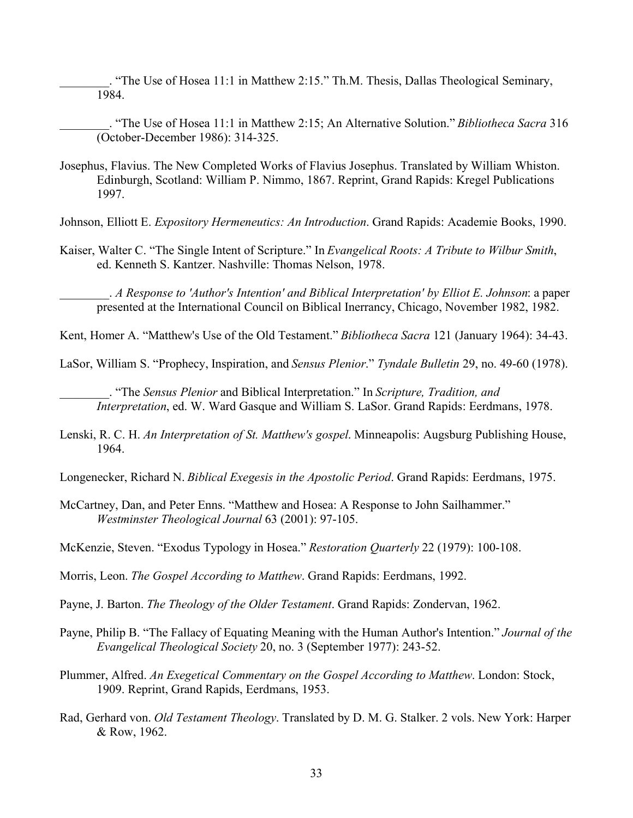\_\_\_\_\_\_\_\_. "The Use of Hosea 11:1 in Matthew 2:15." Th.M. Thesis, Dallas Theological Seminary, 1984.

\_\_\_\_\_\_\_\_. "The Use of Hosea 11:1 in Matthew 2:15; An Alternative Solution." *Bibliotheca Sacra* 316 (October-December 1986): 314-325.

- Josephus, Flavius. The New Completed Works of Flavius Josephus. Translated by William Whiston. Edinburgh, Scotland: William P. Nimmo, 1867. Reprint, Grand Rapids: Kregel Publications 1997.
- Johnson, Elliott E. *Expository Hermeneutics: An Introduction*. Grand Rapids: Academie Books, 1990.
- Kaiser, Walter C. "The Single Intent of Scripture." In *Evangelical Roots: A Tribute to Wilbur Smith*, ed. Kenneth S. Kantzer. Nashville: Thomas Nelson, 1978.

\_\_\_\_\_\_\_\_. *A Response to 'Author's Intention' and Biblical Interpretation' by Elliot E. Johnson*: a paper presented at the International Council on Biblical Inerrancy, Chicago, November 1982, 1982.

Kent, Homer A. "Matthew's Use of the Old Testament." *Bibliotheca Sacra* 121 (January 1964): 34-43.

LaSor, William S. "Prophecy, Inspiration, and *Sensus Plenior*." *Tyndale Bulletin* 29, no. 49-60 (1978).

\_\_\_\_\_\_\_\_. "The *Sensus Plenior* and Biblical Interpretation." In *Scripture, Tradition, and Interpretation*, ed. W. Ward Gasque and William S. LaSor. Grand Rapids: Eerdmans, 1978.

Lenski, R. C. H. *An Interpretation of St. Matthew's gospel*. Minneapolis: Augsburg Publishing House, 1964.

Longenecker, Richard N. *Biblical Exegesis in the Apostolic Period*. Grand Rapids: Eerdmans, 1975.

McCartney, Dan, and Peter Enns. "Matthew and Hosea: A Response to John Sailhammer." *Westminster Theological Journal* 63 (2001): 97-105.

Morris, Leon. *The Gospel According to Matthew*. Grand Rapids: Eerdmans, 1992.

Payne, J. Barton. *The Theology of the Older Testament*. Grand Rapids: Zondervan, 1962.

- Payne, Philip B. "The Fallacy of Equating Meaning with the Human Author's Intention." *Journal of the Evangelical Theological Society* 20, no. 3 (September 1977): 243-52.
- Plummer, Alfred. *An Exegetical Commentary on the Gospel According to Matthew*. London: Stock, 1909. Reprint, Grand Rapids, Eerdmans, 1953.
- Rad, Gerhard von. *Old Testament Theology*. Translated by D. M. G. Stalker. 2 vols. New York: Harper & Row, 1962.

McKenzie, Steven. "Exodus Typology in Hosea." *Restoration Quarterly* 22 (1979): 100-108.